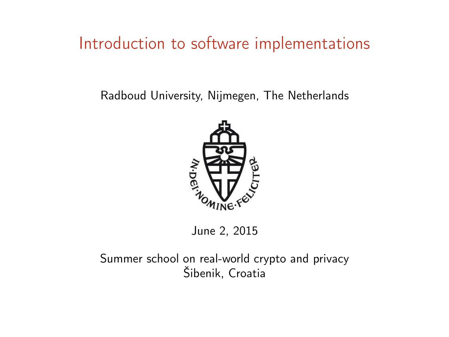#### Introduction to software implementations

Radboud University, Nijmegen, The Netherlands



June 2, 2015

Summer school on real-world crypto and privacy Šibenik, Croatia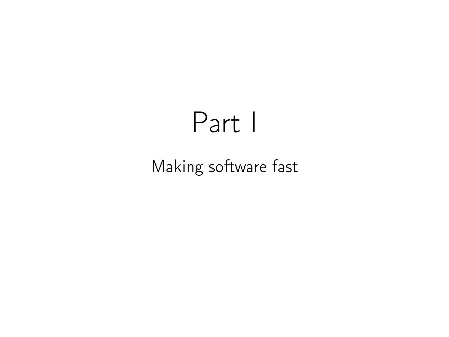# Part I

# Making software fast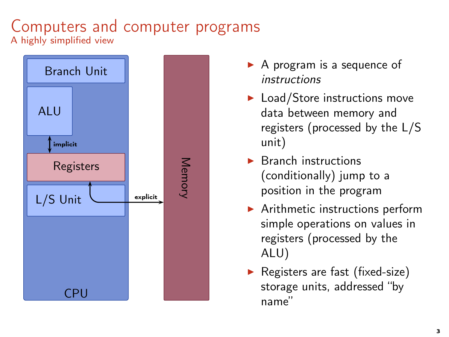#### Computers and computer programs A highly simplified view



- $\triangleright$  A program is a sequence of instructions
- $\blacktriangleright$  Load/Store instructions move data between memory and registers (processed by the L/S unit)
- $\blacktriangleright$  Branch instructions (conditionally) jump to a position in the program
- $\blacktriangleright$  Arithmetic instructions perform simple operations on values in registers (processed by the ALU)
- $\blacktriangleright$  Registers are fast (fixed-size) storage units, addressed "by name"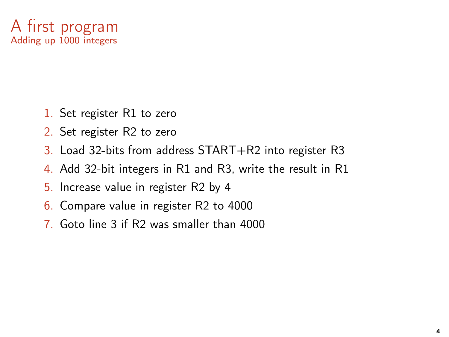

- 1. Set register R1 to zero
- 2. Set register R2 to zero
- 3. Load 32-bits from address START+R2 into register R3
- 4. Add 32-bit integers in R1 and R3, write the result in R1
- 5. Increase value in register R2 by 4
- 6. Compare value in register R2 to 4000
- 7. Goto line 3 if R2 was smaller than 4000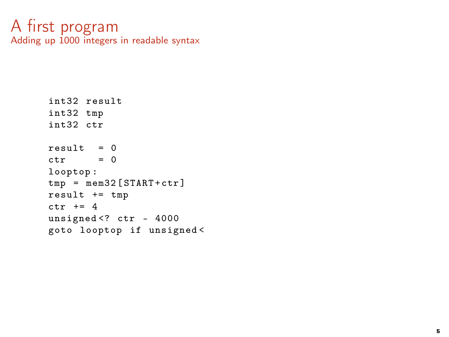#### A first program Adding up 1000 integers in readable syntax

```
int32 result
int32 tmp
int32 ctr
result = 0ctr = 0looptop :
tmp = mem32 [START+ctr]result += tmp
ctr += 4
unsigned<? ctr - 4000
goto looptop if unsigned <
```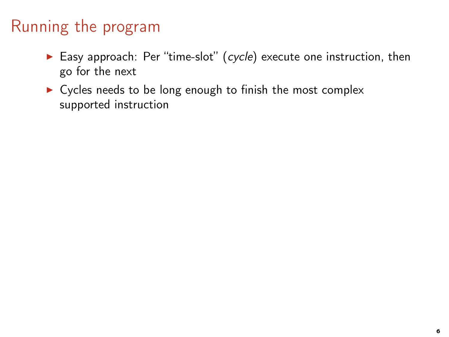- Easy approach: Per "time-slot" (cycle) execute one instruction, then go for the next
- ▶ Cycles needs to be long enough to finish the most complex supported instruction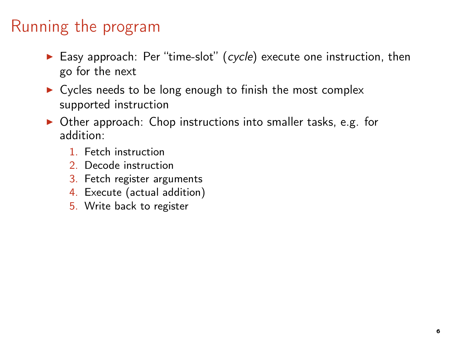- Easy approach: Per "time-slot" (cycle) execute one instruction, then go for the next
- $\triangleright$  Cycles needs to be long enough to finish the most complex supported instruction
- ▶ Other approach: Chop instructions into smaller tasks, e.g. for addition:
	- 1. Fetch instruction
	- 2. Decode instruction
	- 3. Fetch register arguments
	- 4. Execute (actual addition)
	- 5. Write back to register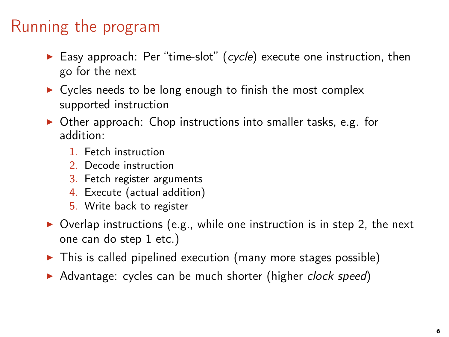- Easy approach: Per "time-slot" (cycle) execute one instruction, then go for the next
- $\triangleright$  Cycles needs to be long enough to finish the most complex supported instruction
- ▶ Other approach: Chop instructions into smaller tasks, e.g. for addition:
	- 1. Fetch instruction
	- 2. Decode instruction
	- 3. Fetch register arguments
	- 4. Execute (actual addition)
	- 5. Write back to register
- $\triangleright$  Overlap instructions (e.g., while one instruction is in step 2, the next one can do step 1 etc.)
- $\triangleright$  This is called pipelined execution (many more stages possible)
- ▶ Advantage: cycles can be much shorter (higher clock speed)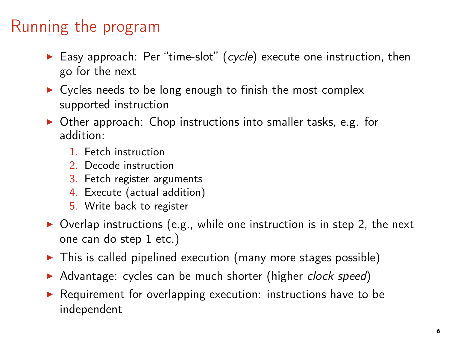- Easy approach: Per "time-slot" (cycle) execute one instruction, then go for the next
- $\triangleright$  Cycles needs to be long enough to finish the most complex supported instruction
- ▶ Other approach: Chop instructions into smaller tasks, e.g. for addition:
	- 1. Fetch instruction
	- 2. Decode instruction
	- 3. Fetch register arguments
	- 4. Execute (actual addition)
	- 5. Write back to register
- $\triangleright$  Overlap instructions (e.g., while one instruction is in step 2, the next one can do step 1 etc.)
- $\triangleright$  This is called pipelined execution (many more stages possible)
- ▶ Advantage: cycles can be much shorter (higher clock speed)
- ▶ Requirement for overlapping execution: instructions have to be independent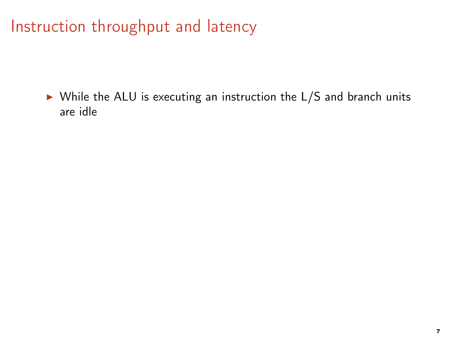Instruction throughput and latency

▶ While the ALU is executing an instruction the L/S and branch units are idle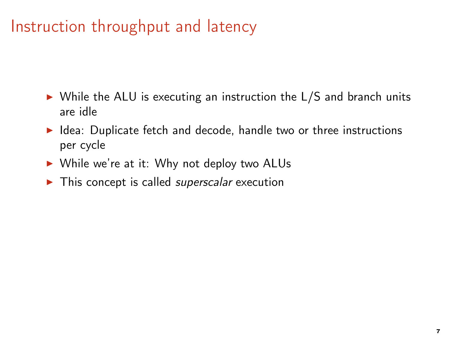#### Instruction throughput and latency

- ▶ While the ALU is executing an instruction the L/S and branch units are idle
- ▶ Idea: Duplicate fetch and decode, handle two or three instructions per cycle
- ▶ While we're at it: Why not deploy two ALUs
- $\triangleright$  This concept is called *superscalar* execution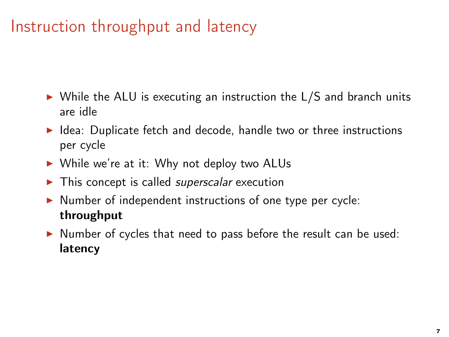## Instruction throughput and latency

- $\triangleright$  While the ALU is executing an instruction the L/S and branch units are idle
- ▶ Idea: Duplicate fetch and decode, handle two or three instructions per cycle
- ▶ While we're at it: Why not deploy two ALUs
- $\blacktriangleright$  This concept is called *superscalar* execution
- ▶ Number of independent instructions of one type per cycle: throughput
- ▶ Number of cycles that need to pass before the result can be used: latency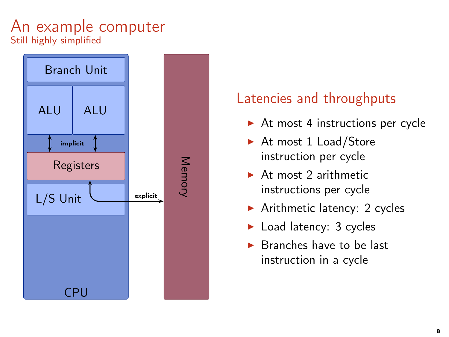#### An example computer Still highly simplified



- $\triangleright$  At most 4 instructions per cycle
- ▶ At most 1 Load/Store instruction per cycle
- $\triangleright$  At most 2 arithmetic instructions per cycle
- $\blacktriangleright$  Arithmetic latency: 2 cycles
- $\blacktriangleright$  Load latency: 3 cycles
- ▶ Branches have to be last instruction in a cycle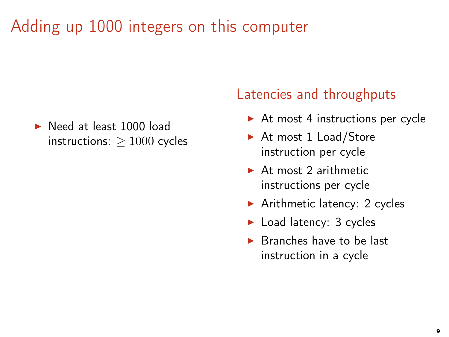▶ Need at least 1000 load instructions:  $> 1000$  cycles

- $\triangleright$  At most 4 instructions per cycle
- ▶ At most 1 Load/Store instruction per cycle
- $\triangleright$  At most 2 arithmetic instructions per cycle
- $\blacktriangleright$  Arithmetic latency: 2 cycles
- ► Load latency: 3 cycles
- $\triangleright$  Branches have to be last instruction in a cycle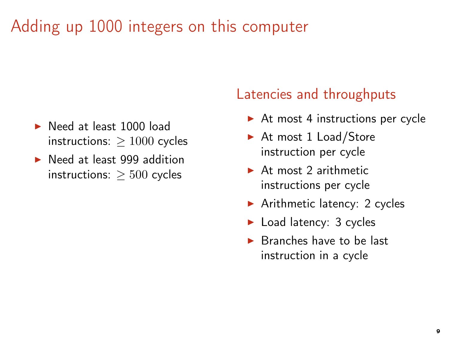- ▶ Need at least 1000 load instructions:  $> 1000$  cycles
- ▶ Need at least 999 addition instructions:  $> 500$  cycles

- $\triangleright$  At most 4 instructions per cycle
- ▶ At most 1 Load/Store instruction per cycle
- $\triangleright$  At most 2 arithmetic instructions per cycle
- $\blacktriangleright$  Arithmetic latency: 2 cycles
- ► Load latency: 3 cycles
- $\triangleright$  Branches have to be last instruction in a cycle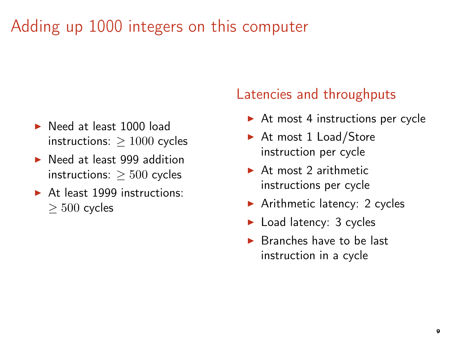- ▶ Need at least 1000 load instructions:  $> 1000$  cycles
- ▶ Need at least 999 addition instructions:  $> 500$  cycles
- ▶ At least 1999 instructions: ≥ 500 cycles

- $\triangleright$  At most 4 instructions per cycle
- ▶ At most 1 Load/Store instruction per cycle
- $\triangleright$  At most 2 arithmetic instructions per cycle
- $\blacktriangleright$  Arithmetic latency: 2 cycles
- ► Load latency: 3 cycles
- $\triangleright$  Branches have to be last instruction in a cycle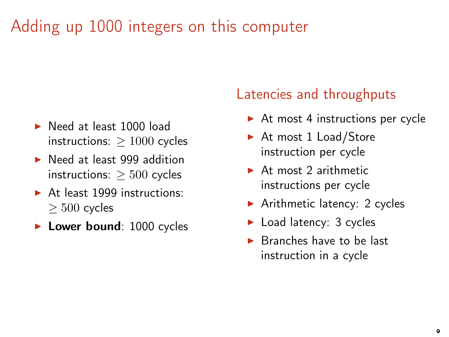- ▶ Need at least 1000 load instructions:  $> 1000$  cycles
- ▶ Need at least 999 addition instructions:  $> 500$  cycles
- ▶ At least 1999 instructions: ≥ 500 cycles
- ▶ Lower bound: 1000 cycles

- $\triangleright$  At most 4 instructions per cycle
- ▶ At most 1 Load/Store instruction per cycle
- $\triangleright$  At most 2 arithmetic instructions per cycle
- $\blacktriangleright$  Arithmetic latency: 2 cycles
- ► Load latency: 3 cycles
- $\triangleright$  Branches have to be last instruction in a cycle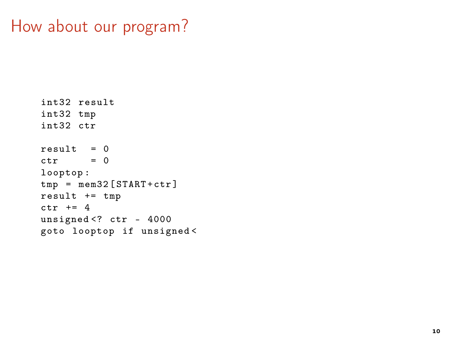#### How about our program?

```
int32 result
int32 tmp
int32 ctr
result = 0ctr = 0looptop :
tmp = mem32 [START+ctr]result += tmp
ctr += 4
unsigned <? ctr - 4000
goto looptop if unsigned <
```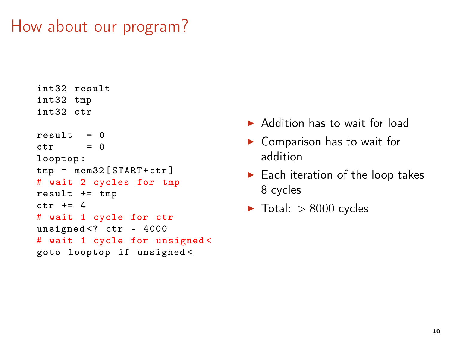## How about our program?

```
int32 result
int32 tmp
int32 ctr
result = 0ctr = 0looptop :
tmp = mem32 [START+ctr]# wait 2 cycles for tmp
result += tmp
ctr += 4
# wait 1 cycle for ctr
unsigned <? ctr - 4000
# wait 1 cycle for unsigned <
goto looptop if unsigned <
```
- ▶ Addition has to wait for load
- $\blacktriangleright$  Comparison has to wait for addition
- $\blacktriangleright$  Each iteration of the loop takes 8 cycles
- $\blacktriangleright$  Total:  $> 8000$  cycles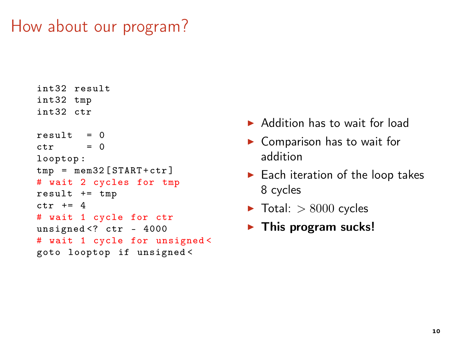## How about our program?

```
int32 result
int32 tmp
int32 ctr
result = 0ctr = 0looptop :
tmp = mem32 [START+ctr]# wait 2 cycles for tmp
result += tmp
ctr += 4
# wait 1 cycle for ctr
unsigned <? ctr - 4000
# wait 1 cycle for unsigned <
goto looptop if unsigned <
```
- ▶ Addition has to wait for load
- $\blacktriangleright$  Comparison has to wait for addition
- $\blacktriangleright$  Each iteration of the loop takes 8 cycles
- $\blacktriangleright$  Total:  $> 8000$  cycles
- $\blacktriangleright$  This program sucks!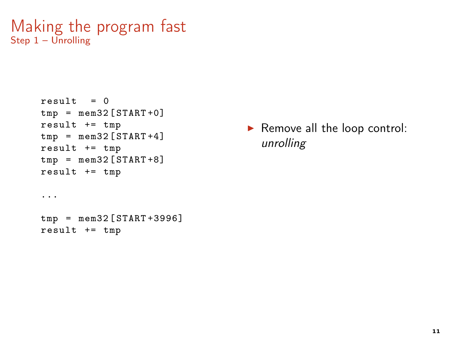```
Making the program fast
Step 1 - Unrolling
```

```
result = 0tmp = mem32 [START+0]result += tmp
tmp = mem32 [START+4]result += tmp
tmp = mem32 [STAT+8]result += tmp
...
tmp = mem32 [ START +3996]
result += tmp
```
▶ Remove all the loop control: unrolling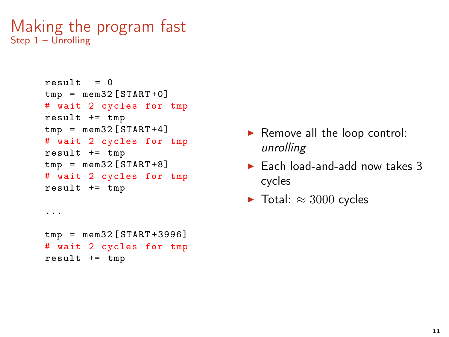```
Making the program fast
Step 1 – Unrolling
```

```
result = 0tmp = mem32 [STAT+0]# wait 2 cycles for tmp
result += tmp
tmp = mem32 [START+4]# wait 2 cycles for tmp
result += tmp
tmp = mem32 [STAT+8]# wait 2 cycles for tmp
result += tmp
...
tmp = mem32 [ START +3996]
# wait 2 cycles for tmp
result += tmp
```
- $\blacktriangleright$  Remove all the loop control: unrolling
- $\blacktriangleright$  Each load-and-add now takes 3 cycles
- $\blacktriangleright$  Total:  $\approx 3000$  cycles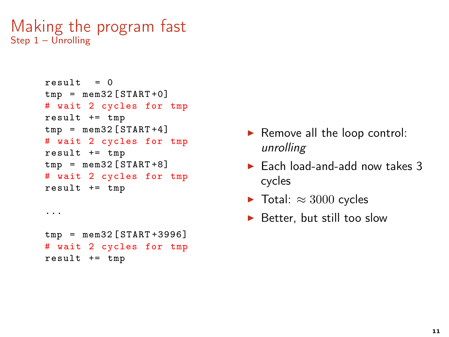```
Making the program fast
Step 1 – Unrolling
```

```
result = 0tmp = mem32 [START+0]# wait 2 cycles for tmp
result += tmp
tmp = mem32 [START+4]# wait 2 cycles for tmp
result += tmp
tmp = mem32 [STAT+8]# wait 2 cycles for tmp
result += tmp
...
tmp = mem32 [ START +3996]
# wait 2 cycles for tmp
result += tmp
```
- $\blacktriangleright$  Remove all the loop control: unrolling
- $\blacktriangleright$  Each load-and-add now takes 3 cycles
- $\blacktriangleright$  Total:  $\approx 3000$  cycles
- $\blacktriangleright$  Better, but still too slow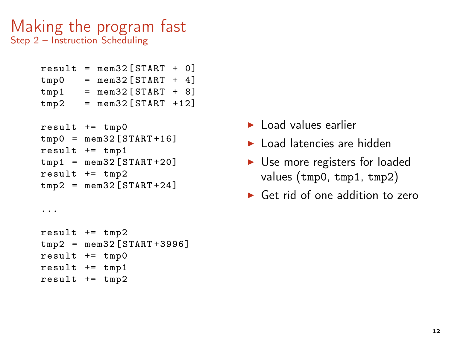#### Making the program fast Step 2 – Instruction Scheduling

```
result = mem32 [STAT + 0]tmp0 = mem32 [START + 4]tmp1 = mem32 [START + 8]tmp2 = mem32 [START +12]result += tmp0
tmp0 = mem32 [START+16]result += tmp1
tmp1 = mem32 [START+20]result += tmp2
tmp2 = mem32 [START+24]...
result += tmp2
tmp2 = mem32 [START+3996]result += tmp0
result += tmp1
result += tmp2
```
- $\blacktriangleright$  Load values earlier
- $\blacktriangleright$  Load latencies are hidden
- ▶ Use more registers for loaded values (tmp0, tmp1, tmp2)
- $\blacktriangleright$  Get rid of one addition to zero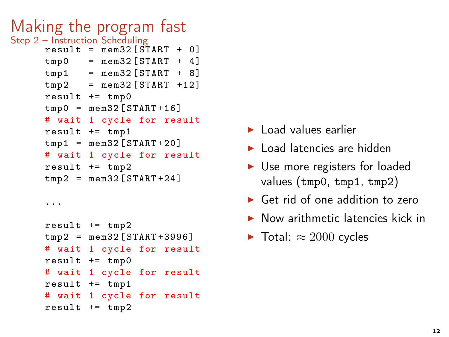```
Making the program fast
Step 2 – Instruction Scheduling
     result = mem32 [STAT + 0]tmp0 = mem32 [STAT + 4]tmp1 = mem32 [START + 8]tmp2 = mem32 [START +12]result += tmp0tmp0 = mem32 [START+16]# wait 1 cycle for result
     result += tmp1
     tmp1 = mem32 [START+20]# wait 1 cycle for result
     result += tmp2
     tmp2 = mem32 [START+24]...
```

```
result += tmp2
tmp2 = mem32 [ START +3996]
# wait 1 cycle for result
result += tmp0
# wait 1 cycle for result
result += tmp1
# wait 1 cycle for result
result += tmp2
```
- $\blacktriangleright$  Load values earlier
- ▶ Load latencies are hidden
- ▶ Use more registers for loaded values (tmp0, tmp1, tmp2)
- $\blacktriangleright$  Get rid of one addition to zero
- $\triangleright$  Now arithmetic latencies kick in
- $\blacktriangleright$  Total:  $\approx 2000$  cycles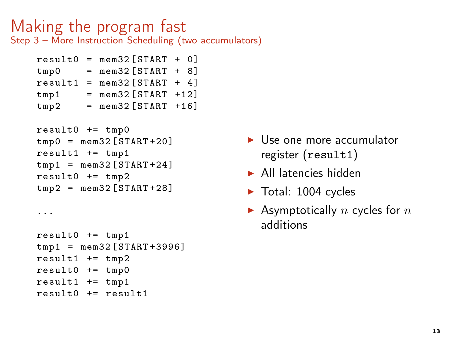#### Making the program fast Step 3 – More Instruction Scheduling (two accumulators)

|         | $result0 = mem32 [STAT + 0]$ |  |
|---------|------------------------------|--|
| tmp0    | $=$ mem32 $SITART + 8$ ]     |  |
| result1 | $=$ mem32 [START + 4]        |  |
| tmp1    | $=$ mem32 $SITART +12$       |  |
| tmp2    | $=$ mem32 [START +16]        |  |
|         |                              |  |

```
result0 += tmp0tmp0 = mem32 [START + 20]result1 += tmp1tmp1 = mem32 [STAT+24]result0 += tmp2tmp2 = mem32 [START + 28]
```
...

```
result0 += tmp1
tmp1 = mem32 [START+3996]result1 += tmp2result0 += tmp0result1 += tmp1
result0 += result1
```
- $\blacktriangleright$  Use one more accumulator register (result1)
- $\blacktriangleright$  All latencies hidden
- $\blacktriangleright$  Total: 1004 cycles
- $\blacktriangleright$  Asymptotically n cycles for n additions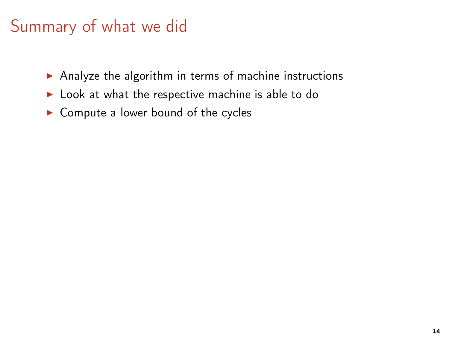- ▶ Analyze the algorithm in terms of machine instructions
- $\blacktriangleright$  Look at what the respective machine is able to do
- $\triangleright$  Compute a lower bound of the cycles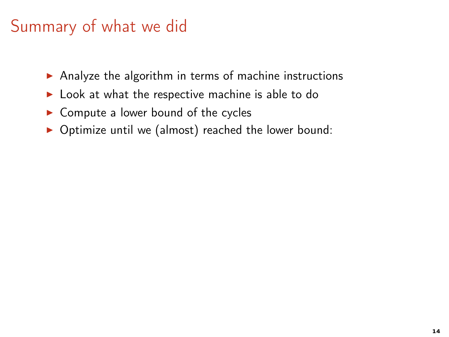- ▶ Analyze the algorithm in terms of machine instructions
- ▶ Look at what the respective machine is able to do
- $\triangleright$  Compute a lower bound of the cycles
- ▶ Optimize until we (almost) reached the lower bound: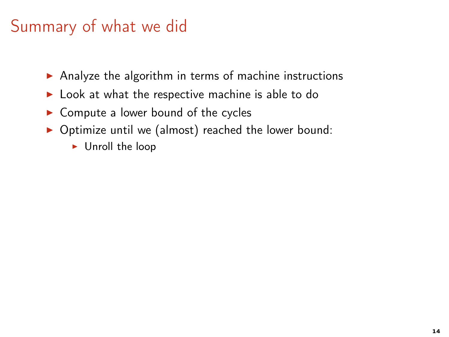- ▶ Analyze the algorithm in terms of machine instructions
- ▶ Look at what the respective machine is able to do
- $\triangleright$  Compute a lower bound of the cycles
- ▶ Optimize until we (almost) reached the lower bound:
	- ► Unroll the loop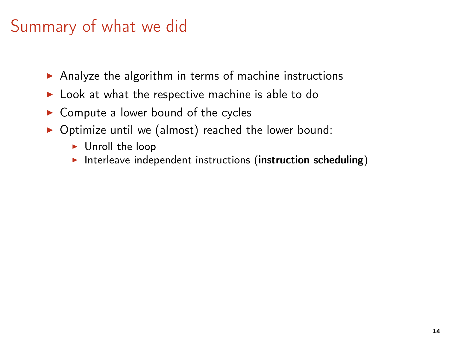- ▶ Analyze the algorithm in terms of machine instructions
- ▶ Look at what the respective machine is able to do
- ▶ Compute a lower bound of the cycles
- ▶ Optimize until we (almost) reached the lower bound:
	- ► Unroll the loop
	- $\triangleright$  Interleave independent instructions (instruction scheduling)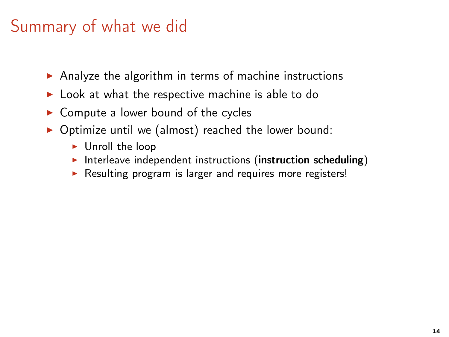- ▶ Analyze the algorithm in terms of machine instructions
- ▶ Look at what the respective machine is able to do
- $\triangleright$  Compute a lower bound of the cycles
- ▶ Optimize until we (almost) reached the lower bound:
	- ► Unroll the loop
	- $\triangleright$  Interleave independent instructions (instruction scheduling)
	- ▶ Resulting program is larger and requires more registers!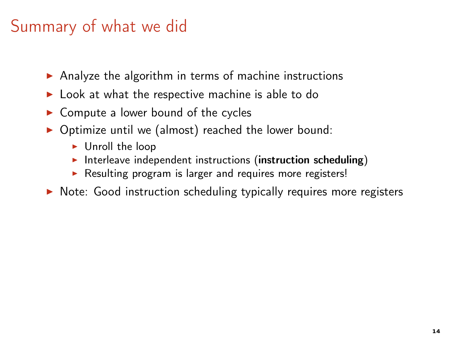- ▶ Analyze the algorithm in terms of machine instructions
- ▶ Look at what the respective machine is able to do
- $\triangleright$  Compute a lower bound of the cycles
- ▶ Optimize until we (almost) reached the lower bound:
	- $\blacktriangleright$  Unroll the loop
	- $\triangleright$  Interleave independent instructions (instruction scheduling)
	- ▶ Resulting program is larger and requires more registers!
- ▶ Note: Good instruction scheduling typically requires more registers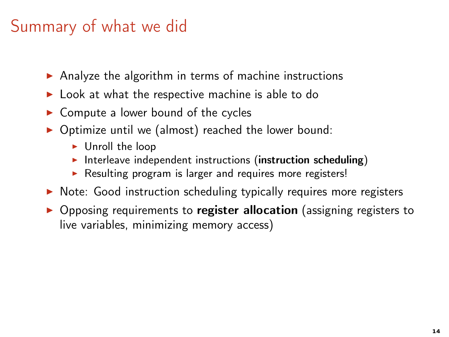- ▶ Analyze the algorithm in terms of machine instructions
- ▶ Look at what the respective machine is able to do
- $\triangleright$  Compute a lower bound of the cycles
- $\triangleright$  Optimize until we (almost) reached the lower bound:
	- $\blacktriangleright$  Unroll the loop
	- $\triangleright$  Interleave independent instructions (instruction scheduling)
	- ▶ Resulting program is larger and requires more registers!
- ▶ Note: Good instruction scheduling typically requires more registers
- ▶ Opposing requirements to register allocation (assigning registers to live variables, minimizing memory access)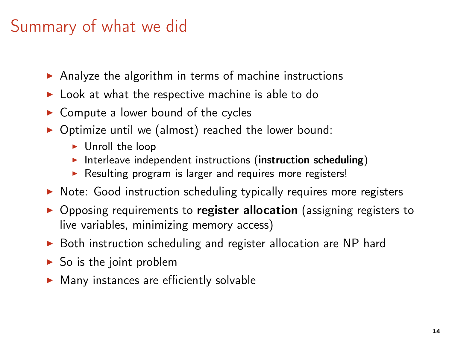- ▶ Analyze the algorithm in terms of machine instructions
- ▶ Look at what the respective machine is able to do
- $\triangleright$  Compute a lower bound of the cycles
- $\triangleright$  Optimize until we (almost) reached the lower bound:
	- $\blacktriangleright$  Unroll the loop
	- $\triangleright$  Interleave independent instructions (instruction scheduling)
	- ▶ Resulting program is larger and requires more registers!
- ▶ Note: Good instruction scheduling typically requires more registers
- ▶ Opposing requirements to register allocation (assigning registers to live variables, minimizing memory access)
- ▶ Both instruction scheduling and register allocation are NP hard
- $\triangleright$  So is the joint problem
- $\blacktriangleright$  Many instances are efficiently solvable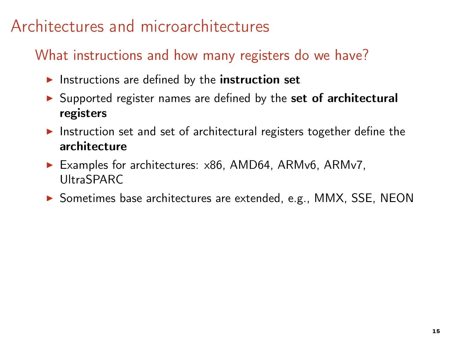## Architectures and microarchitectures

#### What instructions and how many registers do we have?

- $\blacktriangleright$  Instructions are defined by the instruction set
- ▶ Supported register names are defined by the set of architectural registers
- ▶ Instruction set and set of architectural registers together define the architecture
- ▶ Examples for architectures: x86, AMD64, ARMv6, ARMv7, UltraSPARC
- ▶ Sometimes base architectures are extended, e.g., MMX, SSE, NEON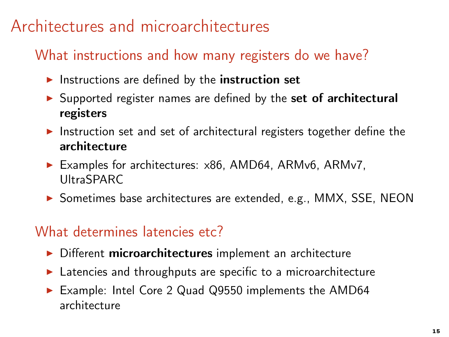## Architectures and microarchitectures

#### What instructions and how many registers do we have?

- $\blacktriangleright$  Instructions are defined by the instruction set
- ▶ Supported register names are defined by the set of architectural registers
- ▶ Instruction set and set of architectural registers together define the architecture
- ▶ Examples for architectures: x86, AMD64, ARMv6, ARMv7, UltraSPARC
- ▶ Sometimes base architectures are extended, e.g., MMX, SSE, NEON

#### What determines latencies etc?

- ▶ Different microarchitectures implement an architecture
- $\blacktriangleright$  Latencies and throughputs are specific to a microarchitecture
- ▶ Example: Intel Core 2 Quad Q9550 implements the AMD64 architecture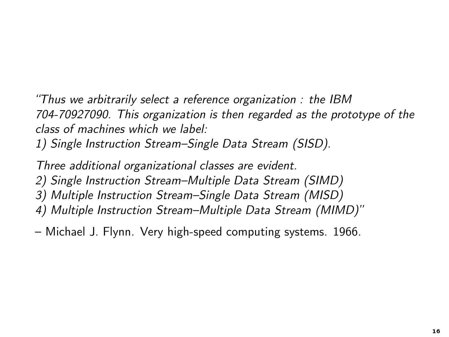"Thus we arbitrarily select a reference organization : the IBM 704-70927090. This organization is then regarded as the prototype of the class of machines which we label:

1) Single Instruction Stream–Single Data Stream (SISD).

Three additional organizational classes are evident. 2) Single Instruction Stream–Multiple Data Stream (SIMD) 3) Multiple Instruction Stream–Single Data Stream (MISD) 4) Multiple Instruction Stream–Multiple Data Stream (MIMD)"

– Michael J. Flynn. Very high-speed computing systems. 1966.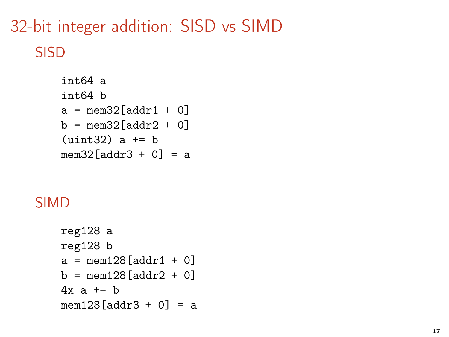# 32-bit integer addition: SISD vs SIMD SISD

```
int64 a
int64 b
a = \text{mem32} \text{[addr1 + 0]}b = \text{mem32}[\text{addr2} + 0](uint32) a += bmem32[addr3 + 0] = a
```
### SIMD

```
reg128 a
reg128 b
a = \text{mem128} \text{[addr1 + 0]}b = \text{mem128}[\text{addr2} + 0]4x a += b
mem128[addr3 + 0] = a
```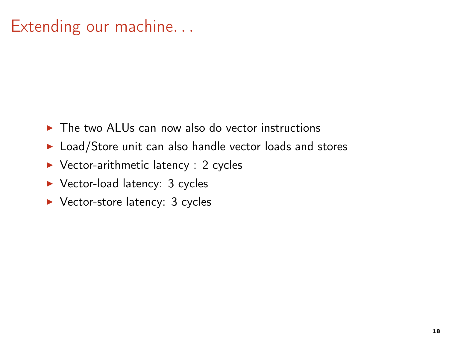# Extending our machine. . .

- $\triangleright$  The two ALUs can now also do vector instructions
- ▶ Load/Store unit can also handle vector loads and stores
- ▶ Vector-arithmetic latency : 2 cycles
- ▶ Vector-load latency: 3 cycles
- ▶ Vector-store latency: 3 cycles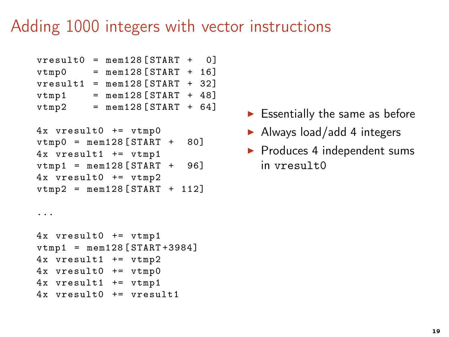## Adding 1000 integers with vector instructions

```
vresult0 = mem128 [START + 0]
vtmp0 = mem128 [START + 16]vresult1 = mem128 [START + 32]
vtmp1 = men128 [STAT + 48]vtmp2 = mem128 [START + 64]
```

```
4x vresult0 += vtmp0
vtmp0 = mem128 [START + 80]4x vresult1 += vtmp1
vtmp1 = mem128 [START + 96]4x vresult0 += vtmp2
vtmp2 = mem128 [START + 112]
```

```
\blacktriangleright Essentially the same as before
```
- $\blacktriangleright$  Always load/add 4 integers
- ▶ Produces 4 independent sums in vresult0

```
4x vresult0 += vtmp1
vtmp1 = mem128 [STAT +3984]4x vresult1 += vtmp2
4x vresult0 += vtmp0
4x vresult1 += vtmp1
4x vresult0 += vresult1
```
...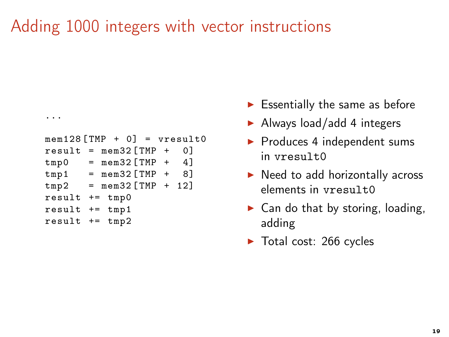# Adding 1000 integers with vector instructions

```
...
mem128 [TMP + 0] = vresult0result = mem32 [TMP + 0]tmp0 = mem32 [TMP + 4]tmp1 = mem32 [TMP + 8]tmp2 = mem32 [TMP + 12]result += tmp0
result += tmp1
result += tmp2
```
- $\blacktriangleright$  Essentially the same as before
- $\blacktriangleright$  Always load/add 4 integers
- ▶ Produces 4 independent sums  $in \ vresu1t0$
- $\blacktriangleright$  Need to add horizontally across elements in vresult0
- $\triangleright$  Can do that by storing, loading, adding
- ▶ Total cost: 266 cycles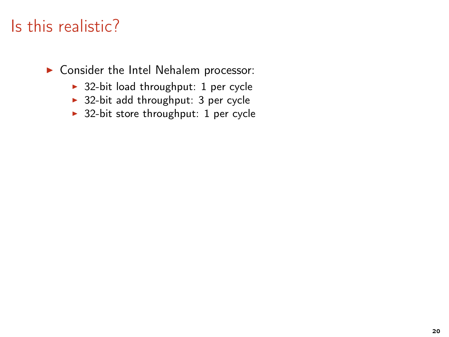- $\rightarrow$  32-bit load throughput: 1 per cycle
- ▶ 32-bit add throughput: 3 per cycle
- ▶ 32-bit store throughput: 1 per cycle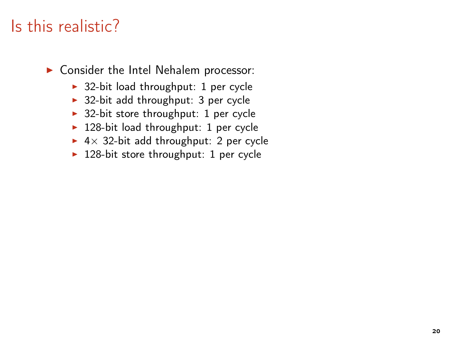- $\rightarrow$  32-bit load throughput: 1 per cycle
- $\rightarrow$  32-bit add throughput: 3 per cycle
- $\rightarrow$  32-bit store throughput: 1 per cycle
- $\blacktriangleright$  128-bit load throughput: 1 per cycle
- ▶  $4 \times 32$ -bit add throughput: 2 per cycle
- $\blacktriangleright$  128-bit store throughput: 1 per cycle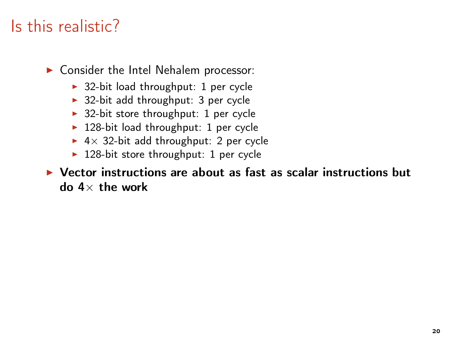▶ Consider the Intel Nehalem processor:

- $\rightarrow$  32-bit load throughput: 1 per cycle
- $\rightarrow$  32-bit add throughput: 3 per cycle
- $\rightarrow$  32-bit store throughput: 1 per cycle
- ▶ 128-bit load throughput: 1 per cycle
- ▶  $4 \times 32$ -bit add throughput: 2 per cycle
- $\blacktriangleright$  128-bit store throughput: 1 per cycle

#### $\triangleright$  Vector instructions are about as fast as scalar instructions but do  $4 \times$  the work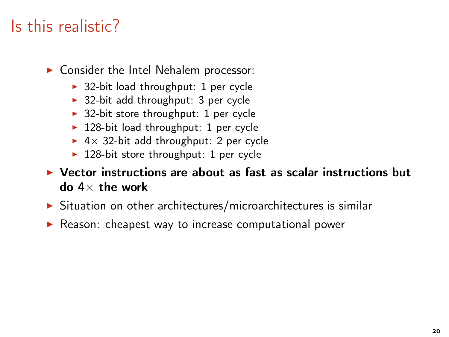- $\rightarrow$  32-bit load throughput: 1 per cycle
- $\rightarrow$  32-bit add throughput: 3 per cycle
- $\rightarrow$  32-bit store throughput: 1 per cycle
- $\blacktriangleright$  128-bit load throughput: 1 per cycle
- ▶  $4 \times 32$ -bit add throughput: 2 per cycle
- $\blacktriangleright$  128-bit store throughput: 1 per cycle
- $\triangleright$  Vector instructions are about as fast as scalar instructions but do  $4 \times$  the work
- ▶ Situation on other architectures/microarchitectures is similar
- ▶ Reason: cheapest way to increase computational power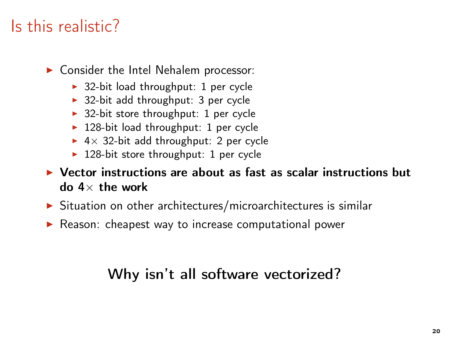▶ Consider the Intel Nehalem processor:

- $\rightarrow$  32-bit load throughput: 1 per cycle
- $\rightarrow$  32-bit add throughput: 3 per cycle
- $\rightarrow$  32-bit store throughput: 1 per cycle
- $\blacktriangleright$  128-bit load throughput: 1 per cycle
- ▶  $4 \times 32$ -bit add throughput: 2 per cycle
- $\blacktriangleright$  128-bit store throughput: 1 per cycle
- $\triangleright$  Vector instructions are about as fast as scalar instructions but do  $4 \times$  the work
- ▶ Situation on other architectures/microarchitectures is similar
- ▶ Reason: cheapest way to increase computational power

### Why isn't all software vectorized?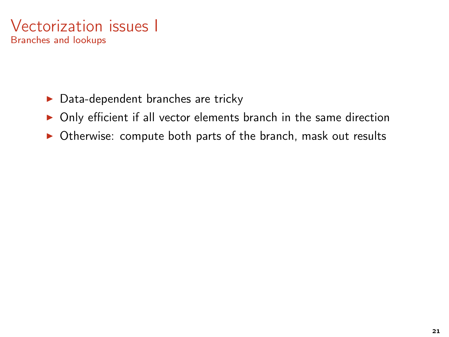

- $\blacktriangleright$  Data-dependent branches are tricky
- ▶ Only efficient if all vector elements branch in the same direction
- ▶ Otherwise: compute both parts of the branch, mask out results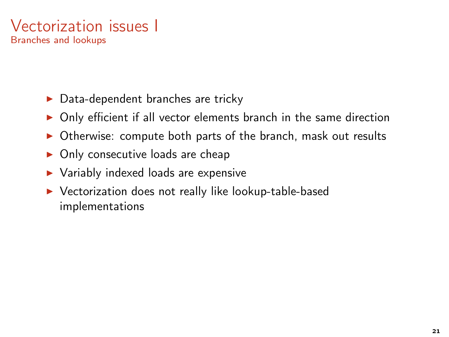### Vectorization issues I Branches and lookups

- $\triangleright$  Data-dependent branches are tricky
- ▶ Only efficient if all vector elements branch in the same direction
- ▶ Otherwise: compute both parts of the branch, mask out results
- $\triangleright$  Only consecutive loads are cheap
- ▶ Variably indexed loads are expensive
- ▶ Vectorization does not really like lookup-table-based implementations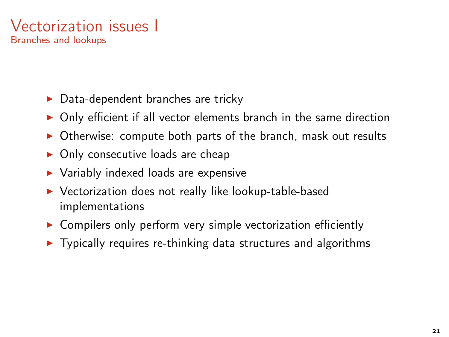### Vectorization issues I Branches and lookups

- $\triangleright$  Data-dependent branches are tricky
- ▶ Only efficient if all vector elements branch in the same direction
- ▶ Otherwise: compute both parts of the branch, mask out results
- $\triangleright$  Only consecutive loads are cheap
- ▶ Variably indexed loads are expensive
- ▶ Vectorization does not really like lookup-table-based implementations
- ▶ Compilers only perform very simple vectorization efficiently
- $\triangleright$  Typically requires re-thinking data structures and algorithms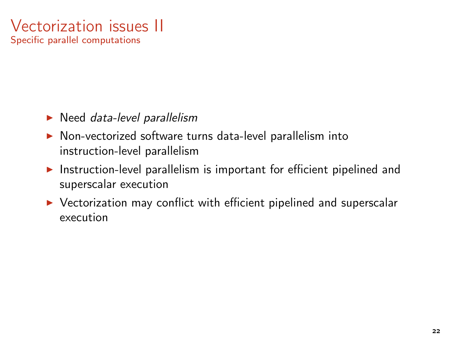### Vectorization issues II Specific parallel computations

- $\blacktriangleright$  Need *data-level parallelism*
- ▶ Non-vectorized software turns data-level parallelism into instruction-level parallelism
- ▶ Instruction-level parallelism is important for efficient pipelined and superscalar execution
- ▶ Vectorization may conflict with efficient pipelined and superscalar execution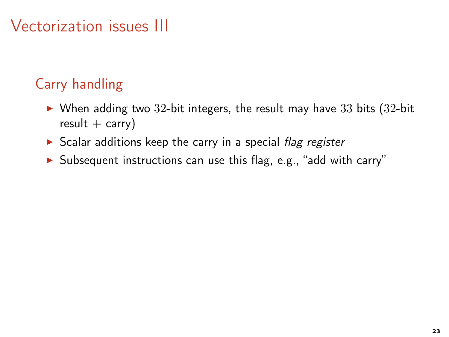- $\triangleright$  When adding two 32-bit integers, the result may have 33 bits (32-bit)  $result + carry)$
- $\triangleright$  Scalar additions keep the carry in a special flag register
- ▶ Subsequent instructions can use this flag, e.g., "add with carry"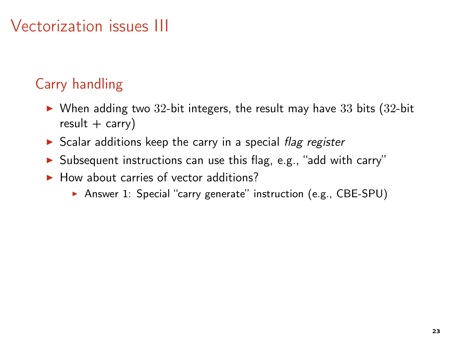- $\triangleright$  When adding two 32-bit integers, the result may have 33 bits (32-bit)  $result + carry)$
- $\triangleright$  Scalar additions keep the carry in a special flag register
- ▶ Subsequent instructions can use this flag, e.g., "add with carry"
- $\blacktriangleright$  How about carries of vector additions?
	- ▶ Answer 1: Special "carry generate" instruction (e.g., CBE-SPU)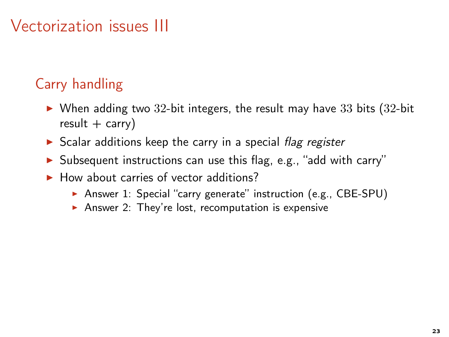- $\blacktriangleright$  When adding two 32-bit integers, the result may have 33 bits (32-bit  $result + carry)$
- $\triangleright$  Scalar additions keep the carry in a special flag register
- ▶ Subsequent instructions can use this flag, e.g., "add with carry"
- $\blacktriangleright$  How about carries of vector additions?
	- ▶ Answer 1: Special "carry generate" instruction (e.g., CBE-SPU)
	- Answer 2: They're lost, recomputation is expensive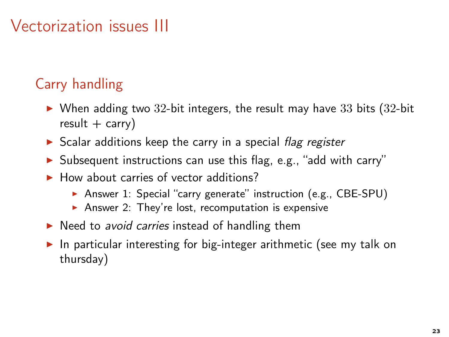- $\triangleright$  When adding two 32-bit integers, the result may have 33 bits (32-bit)  $result + carry)$
- $\triangleright$  Scalar additions keep the carry in a special flag register
- ▶ Subsequent instructions can use this flag, e.g., "add with carry"
- $\blacktriangleright$  How about carries of vector additions?
	- ▶ Answer 1: Special "carry generate" instruction (e.g., CBE-SPU)
	- Answer 2: They're lost, recomputation is expensive
- ▶ Need to avoid carries instead of handling them
- ▶ In particular interesting for big-integer arithmetic (see my talk on thursday)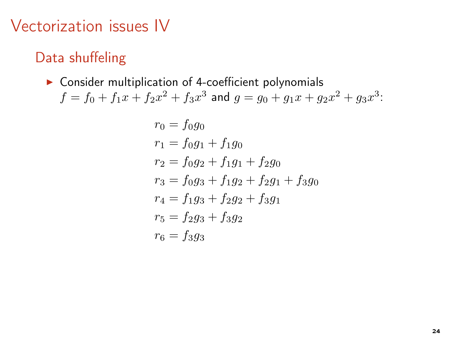### Data shuffeling

 $\triangleright$  Consider multiplication of 4-coefficient polynomials  $f = f_0 + f_1 x + f_2 x^2 + f_3 x^3$  and  $g = g_0 + g_1 x + g_2 x^2 + g_3 x^3$ :

$$
r_0 = f_0g_0
$$
  
\n
$$
r_1 = f_0g_1 + f_1g_0
$$
  
\n
$$
r_2 = f_0g_2 + f_1g_1 + f_2g_0
$$
  
\n
$$
r_3 = f_0g_3 + f_1g_2 + f_2g_1 + f_3g_0
$$
  
\n
$$
r_4 = f_1g_3 + f_2g_2 + f_3g_1
$$
  
\n
$$
r_5 = f_2g_3 + f_3g_2
$$
  
\n
$$
r_6 = f_3g_3
$$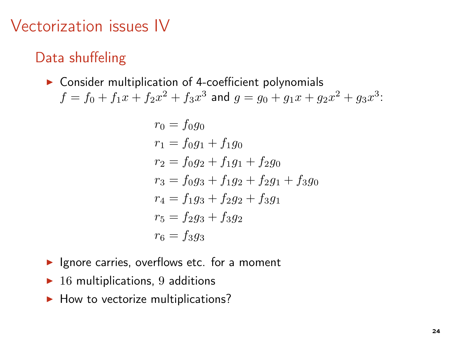### Data shuffeling

 $\triangleright$  Consider multiplication of 4-coefficient polynomials  $f = f_0 + f_1 x + f_2 x^2 + f_3 x^3$  and  $g = g_0 + g_1 x + g_2 x^2 + g_3 x^3$ :

$$
r_0 = f_0 g_0
$$
  
\n
$$
r_1 = f_0 g_1 + f_1 g_0
$$
  
\n
$$
r_2 = f_0 g_2 + f_1 g_1 + f_2 g_0
$$
  
\n
$$
r_3 = f_0 g_3 + f_1 g_2 + f_2 g_1 + f_3 g_0
$$
  
\n
$$
r_4 = f_1 g_3 + f_2 g_2 + f_3 g_1
$$
  
\n
$$
r_5 = f_2 g_3 + f_3 g_2
$$
  
\n
$$
r_6 = f_3 g_3
$$

- $\blacktriangleright$  Ignore carries, overflows etc. for a moment
- $\blacktriangleright$  16 multiplications, 9 additions
- $\blacktriangleright$  How to vectorize multiplications?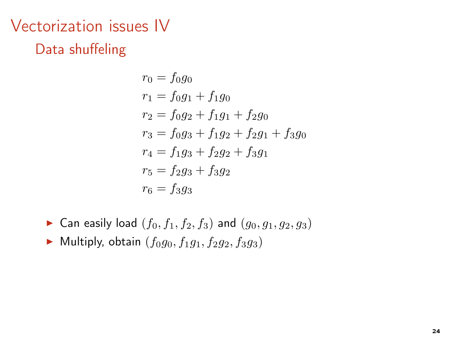# Vectorization issues IV Data shuffeling

$$
r_0 = f_0g_0
$$
  
\n
$$
r_1 = f_0g_1 + f_1g_0
$$
  
\n
$$
r_2 = f_0g_2 + f_1g_1 + f_2g_0
$$
  
\n
$$
r_3 = f_0g_3 + f_1g_2 + f_2g_1 + f_3g_0
$$
  
\n
$$
r_4 = f_1g_3 + f_2g_2 + f_3g_1
$$
  
\n
$$
r_5 = f_2g_3 + f_3g_2
$$
  
\n
$$
r_6 = f_3g_3
$$

- ▶ Can easily load  $(f_0, f_1, f_2, f_3)$  and  $(g_0, g_1, g_2, g_3)$
- $\blacktriangleright$  Multiply, obtain  $(f_0g_0, f_1g_1, f_2g_2, f_3g_3)$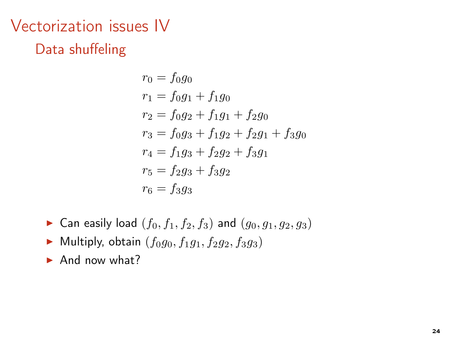# Vectorization issues IV Data shuffeling

$$
r_0 = f_0g_0
$$
  
\n
$$
r_1 = f_0g_1 + f_1g_0
$$
  
\n
$$
r_2 = f_0g_2 + f_1g_1 + f_2g_0
$$
  
\n
$$
r_3 = f_0g_3 + f_1g_2 + f_2g_1 + f_3g_0
$$
  
\n
$$
r_4 = f_1g_3 + f_2g_2 + f_3g_1
$$
  
\n
$$
r_5 = f_2g_3 + f_3g_2
$$
  
\n
$$
r_6 = f_3g_3
$$

- ▶ Can easily load  $(f_0, f_1, f_2, f_3)$  and  $(g_0, g_1, g_2, g_3)$
- $\blacktriangleright$  Multiply, obtain  $(f_0g_0, f_1g_1, f_2g_2, f_3g_3)$
- $\blacktriangleright$  And now what?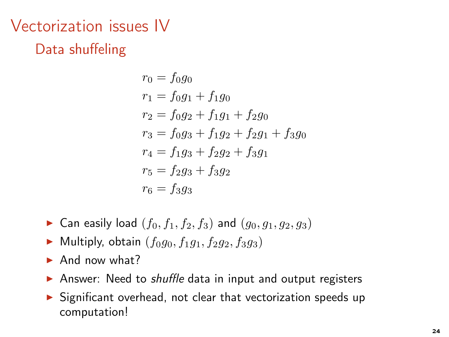# Vectorization issues IV Data shuffeling

$$
r_0 = f_0g_0
$$
  
\n
$$
r_1 = f_0g_1 + f_1g_0
$$
  
\n
$$
r_2 = f_0g_2 + f_1g_1 + f_2g_0
$$
  
\n
$$
r_3 = f_0g_3 + f_1g_2 + f_2g_1 + f_3g_0
$$
  
\n
$$
r_4 = f_1g_3 + f_2g_2 + f_3g_1
$$
  
\n
$$
r_5 = f_2g_3 + f_3g_2
$$
  
\n
$$
r_6 = f_3g_3
$$

- Can easily load  $(f_0, f_1, f_2, f_3)$  and  $(g_0, g_1, g_2, g_3)$
- $\blacktriangleright$  Multiply, obtain  $(f_0q_0, f_1q_1, f_2q_2, f_3q_3)$
- $\blacktriangleright$  And now what?
- ▶ Answer: Need to *shuffle* data in input and output registers
- ▶ Significant overhead, not clear that vectorization speeds up computation!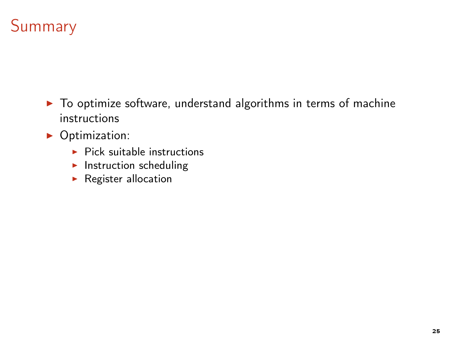# Summary

- ▶ To optimize software, understand algorithms in terms of machine instructions
- ▶ Optimization:
	- $\blacktriangleright$  Pick suitable instructions
	- $\blacktriangleright$  Instruction scheduling
	- ▶ Register allocation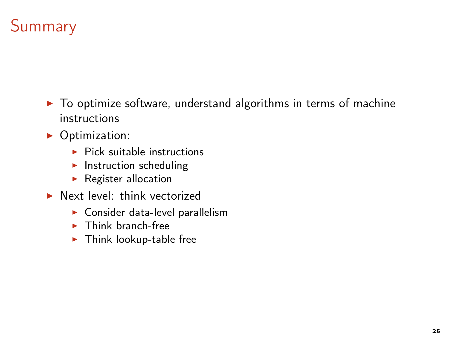# **Summary**

- ▶ To optimize software, understand algorithms in terms of machine instructions
- ▶ Optimization:
	- $\blacktriangleright$  Pick suitable instructions
	- $\blacktriangleright$  Instruction scheduling
	- $\blacktriangleright$  Register allocation
- ▶ Next level: think vectorized
	- $\blacktriangleright$  Consider data-level parallelism
	- $\blacktriangleright$  Think branch-free
	- $\blacktriangleright$  Think lookup-table free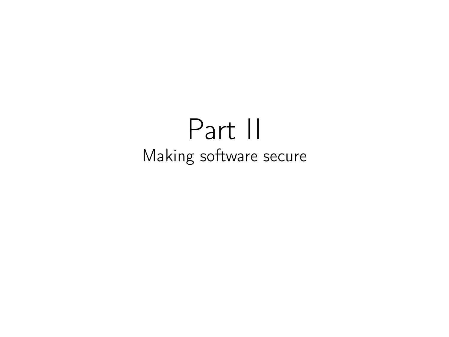# Part II Making software secure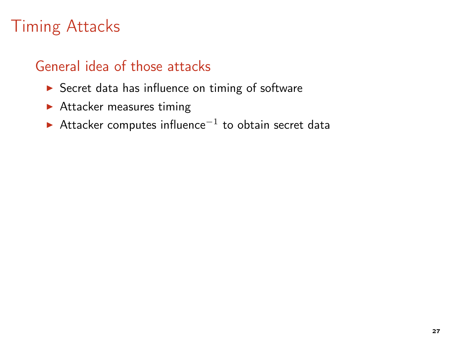### General idea of those attacks

- ▶ Secret data has influence on timing of software
- $\blacktriangleright$  Attacker measures timing
- ► Attacker computes influence<sup>-1</sup> to obtain secret data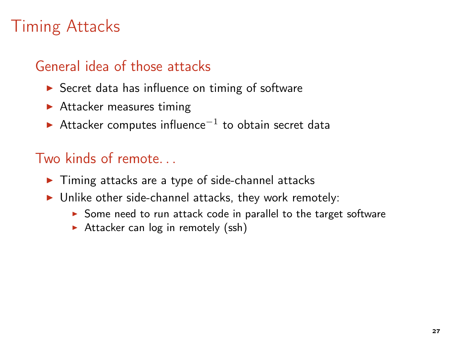### General idea of those attacks

- $\triangleright$  Secret data has influence on timing of software
- $\blacktriangleright$  Attacker measures timing
- ► Attacker computes influence<sup>-1</sup> to obtain secret data

- ▶ Timing attacks are a type of side-channel attacks
- $\triangleright$  Unlike other side-channel attacks, they work remotely:
	- ▶ Some need to run attack code in parallel to the target software
	- $\triangleright$  Attacker can log in remotely (ssh)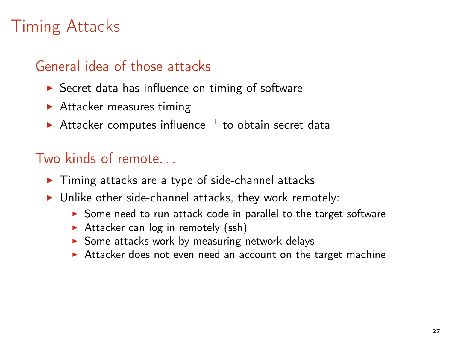### General idea of those attacks

- $\triangleright$  Secret data has influence on timing of software
- $\blacktriangleright$  Attacker measures timing
- ► Attacker computes influence<sup>-1</sup> to obtain secret data

- ▶ Timing attacks are a type of side-channel attacks
- $\triangleright$  Unlike other side-channel attacks, they work remotely:
	- ▶ Some need to run attack code in parallel to the target software
	- $\triangleright$  Attacker can log in remotely (ssh)
	- $\triangleright$  Some attacks work by measuring network delays
	- ▶ Attacker does not even need an account on the target machine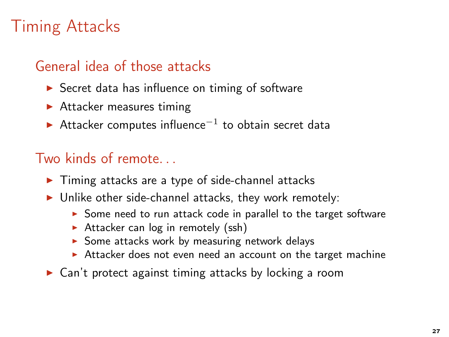### General idea of those attacks

- $\triangleright$  Secret data has influence on timing of software
- $\blacktriangleright$  Attacker measures timing
- ► Attacker computes influence<sup>-1</sup> to obtain secret data

- ▶ Timing attacks are a type of side-channel attacks
- $\triangleright$  Unlike other side-channel attacks, they work remotely:
	- ▶ Some need to run attack code in parallel to the target software
	- $\triangleright$  Attacker can log in remotely (ssh)
	- $\triangleright$  Some attacks work by measuring network delays
	- ▶ Attacker does not even need an account on the target machine
- ▶ Can't protect against timing attacks by locking a room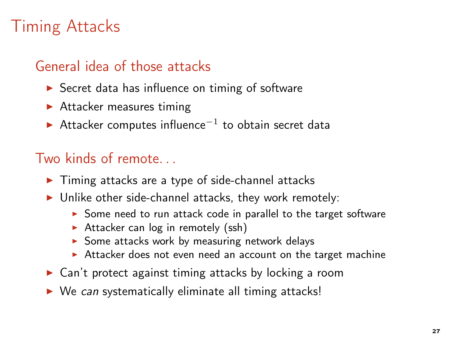### General idea of those attacks

- $\triangleright$  Secret data has influence on timing of software
- $\blacktriangleright$  Attacker measures timing
- ► Attacker computes influence<sup>-1</sup> to obtain secret data

- ▶ Timing attacks are a type of side-channel attacks
- $\triangleright$  Unlike other side-channel attacks, they work remotely:
	- ▶ Some need to run attack code in parallel to the target software
	- $\triangleright$  Attacker can log in remotely (ssh)
	- $\triangleright$  Some attacks work by measuring network delays
	- ▶ Attacker does not even need an account on the target machine
- ▶ Can't protect against timing attacks by locking a room
- ▶ We can systematically eliminate all timing attacks!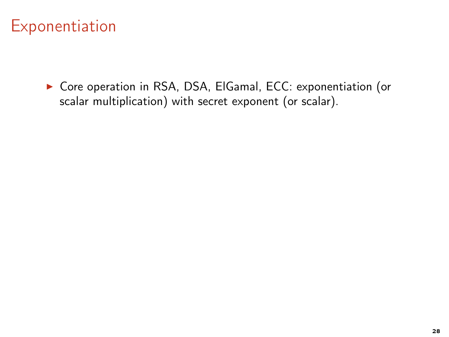▶ Core operation in RSA, DSA, ElGamal, ECC: exponentiation (or scalar multiplication) with secret exponent (or scalar).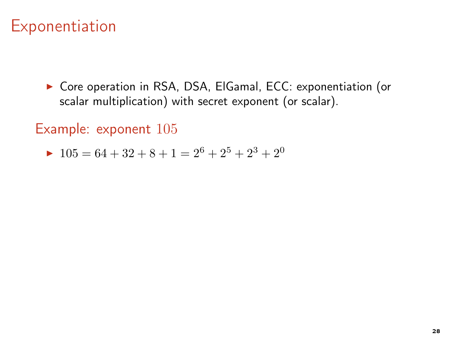▶ Core operation in RSA, DSA, ElGamal, ECC: exponentiation (or scalar multiplication) with secret exponent (or scalar).

Example: exponent 105

$$
\blacktriangleright \ 105 = 64 + 32 + 8 + 1 = 2^6 + 2^5 + 2^3 + 2^0
$$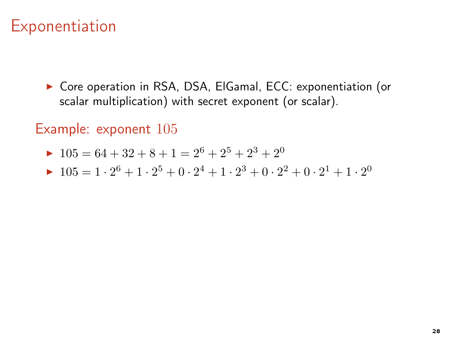▶ Core operation in RSA, DSA, ElGamal, ECC: exponentiation (or scalar multiplication) with secret exponent (or scalar).

### Example: exponent 105

- $\blacktriangleright$  105 = 64 + 32 + 8 + 1 = 2<sup>6</sup> + 2<sup>5</sup> + 2<sup>3</sup> + 2<sup>0</sup>
- $\blacktriangleright$  105 = 1 · 2<sup>6</sup> + 1 · 2<sup>5</sup> + 0 · 2<sup>4</sup> + 1 · 2<sup>3</sup> + 0 · 2<sup>2</sup> + 0 · 2<sup>1</sup> + 1 · 2<sup>0</sup>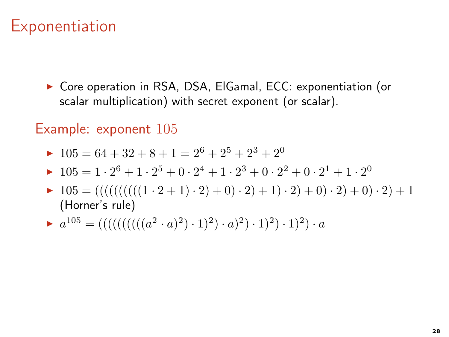▶ Core operation in RSA, DSA, ElGamal, ECC: exponentiation (or scalar multiplication) with secret exponent (or scalar).

### Example: exponent 105

- $\blacktriangleright$  105 = 64 + 32 + 8 + 1 = 2<sup>6</sup> + 2<sup>5</sup> + 2<sup>3</sup> + 2<sup>0</sup>
- $\blacktriangleright$  105 = 1 · 2<sup>6</sup> + 1 · 2<sup>5</sup> + 0 · 2<sup>4</sup> + 1 · 2<sup>3</sup> + 0 · 2<sup>2</sup> + 0 · 2<sup>1</sup> + 1 · 2<sup>0</sup>
- $\blacktriangleright$  105 = (((((((((((1 · 2 + 1) · 2) + 0) · 2) + 1) · 2) + 0) · 2) + 0) · 2) + 1 (Horner's rule)
- $a^{105} = ((((((((((a<sup>2</sup> · a)<sup>2</sup>) · 1)<sup>2</sup>) · a)<sup>2</sup>) · 1)<sup>2</sup>) · a)$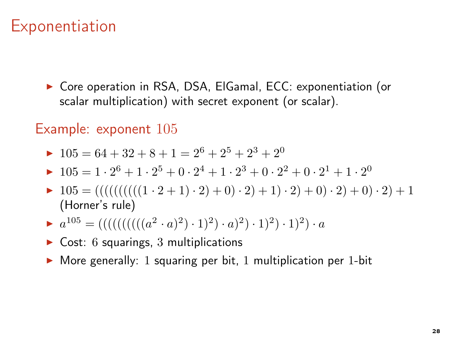#### Exponentiation

▶ Core operation in RSA, DSA, ElGamal, ECC: exponentiation (or scalar multiplication) with secret exponent (or scalar).

#### Example: exponent 105

- $\blacktriangleright$  105 = 64 + 32 + 8 + 1 = 2<sup>6</sup> + 2<sup>5</sup> + 2<sup>3</sup> + 2<sup>0</sup>
- $\blacktriangleright$  105 = 1 · 2<sup>6</sup> + 1 · 2<sup>5</sup> + 0 · 2<sup>4</sup> + 1 · 2<sup>3</sup> + 0 · 2<sup>2</sup> + 0 · 2<sup>1</sup> + 1 · 2<sup>0</sup>
- $\blacktriangleright$  105 = (((((((((((1 · 2 + 1) · 2) + 0) · 2) + 1) · 2) + 0) · 2) + 0) · 2) + 1 (Horner's rule)
- $a^{105} = ((((((((((a<sup>2</sup> · a)<sup>2</sup>) · 1)<sup>2</sup>) · a)<sup>2</sup>) · 1)<sup>2</sup>) · a)$
- $\triangleright$  Cost: 6 squarings, 3 multiplications
- $\triangleright$  More generally: 1 squaring per bit, 1 multiplication per 1-bit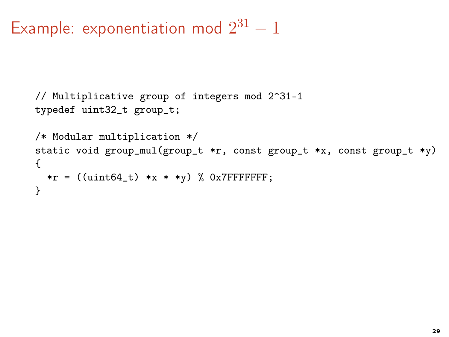# Example: exponentiation mod  $2^{31} - 1$

```
// Multiplicative group of integers mod 2^31-1
typedef uint32_t group_t;
/* Modular multiplication */
static void group_mul(group_t *r, const group_t *x, const group_t *y)
{
  *r = ((uint64_t) *x * *y) % 0x7FFFFFFFF;
}
```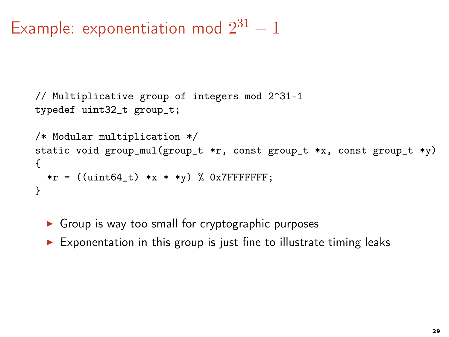# Example: exponentiation mod  $2^{31} - 1$

```
// Multiplicative group of integers mod 2^31-1
typedef uint32_t group_t;
/* Modular multiplication */
static void group_mul(group_t *r, const group_t *x, const group_t *y)
{
  *r = ((uint64_t) *x * *y) % 0x7FFFFFFFF;
}
```
 $\triangleright$  Group is way too small for cryptographic purposes

 $\triangleright$  Exponentation in this group is just fine to illustrate timing leaks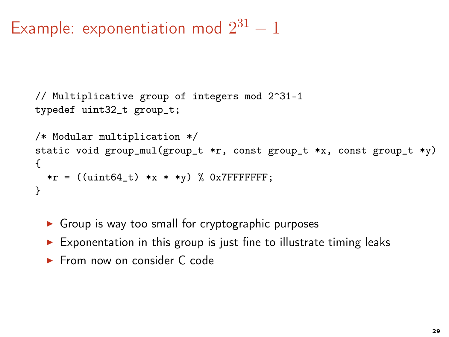# Example: exponentiation mod  $2^{31} - 1$

```
// Multiplicative group of integers mod 2^31-1
typedef uint32_t group_t;
/* Modular multiplication */
static void group_mul(group_t *r, const group_t *x, const group_t *y)
{
  *r = ((uint64_t) *x * *y) % 0x7FFFFFFFF;
}
```
- $\triangleright$  Group is way too small for cryptographic purposes
- $\triangleright$  Exponentation in this group is just fine to illustrate timing leaks
- ► From now on consider C code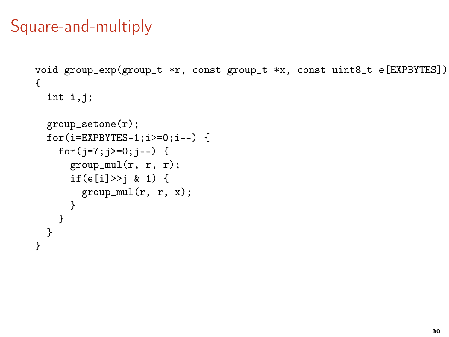#### Square-and-multiply

```
void group_exp(group_t *r, const group_t *x, const uint8_t e[EXPBYTES])
{
  int i,j;
 group_setone(r);
  for(i=EXPBYTES-1; i>=0; i--) {
    for(j=7;j>=0;j=-) {
      group\_mul(r, r, r);if(e[i]>>j & 1) {
        group\_mul(r, r, x);}
  }
  }
}
```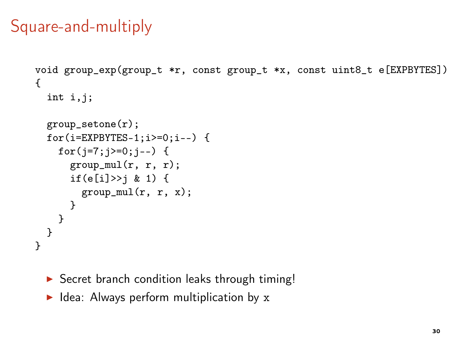# Square-and-multiply

```
void group_exp(group_t *r, const group_t *x, const uint8_t e[EXPBYTES])
{
  int i,j;
  group_setone(r);
  for(i=EXPBYTES-1; i>=0; i--) {
    for(j=7;j>=0;j=-) {
      group\_mul(r, r, r);if(e[i]>>j & 1) {
        group\_mul(r, r, x);}
   }
  }
}
```
- ▶ Secret branch condition leaks through timing!
- $\blacktriangleright$  Idea: Always perform multiplication by x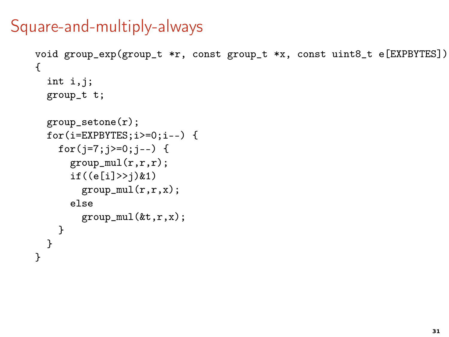#### Square-and-multiply-always

```
void group_exp(group_t *r, const group_t *x, const uint8_t e[EXPBYTES])
{
  int i,j;
  group_t t;
  group_setone(r);
  for(i=EXPBYTES;i>=0;i--) {
    for(j=7;j>=0;j--) {
      group\_mul(r,r,r);if((e[i]>>j)&1)
        group\_mul(r,r,x);else
        group\_mul(kt,r,x);}
  }
}
```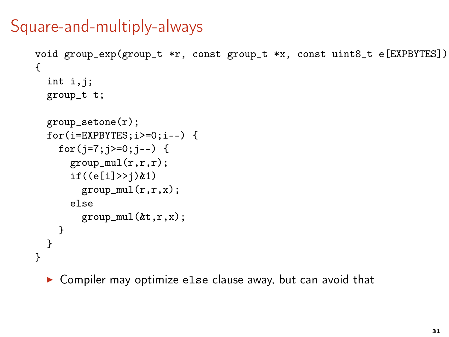# Square-and-multiply-always

```
void group_exp(group_t *r, const group_t *x, const uint8_t e[EXPBYTES])
{
  int i,j;
  group_t t;
  group_setone(r);
  for(i=EXPBYTES;i>=0;i--) {
    for(j=7;j>=0;j=-) {
      group\_mul(r,r,r);if((e[i]>>j)&1)
        group\_mul(r,r,x);else
        group\_mul(kt,r,x);}
  }
}
```
▶ Compiler may optimize else clause away, but can avoid that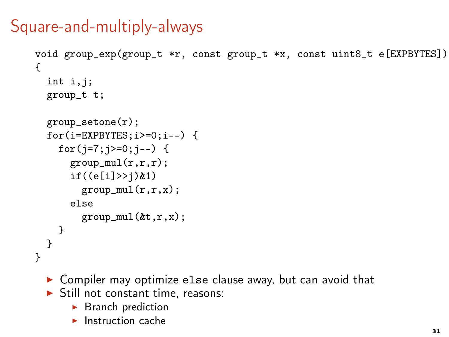# Square-and-multiply-always

```
void group_exp(group_t *r, const group_t *x, const uint8_t e[EXPBYTES])
{
  int i,j;
  group_t t;
  group_setone(r);
  for(i=EXPBYTES;i>=0;i--) {
    for(j=7;j>=0;j=-) {
      group\_mul(r,r,r);if((e[i]>>j)&1)
        group\_mul(r,r,x);else
        group\_mul(kt,r,x);}
  }
}
```
- ▶ Compiler may optimize else clause away, but can avoid that
- $\triangleright$  Still not constant time, reasons:
	- $\blacktriangleright$  Branch prediction
	- $\blacktriangleright$  Instruction cache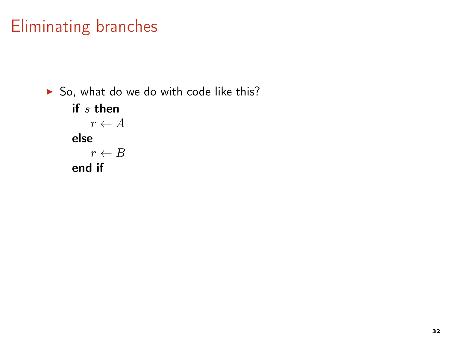▶ So, what do we do with code like this? if s then  $r \leftarrow A$ else  $r \leftarrow B$ end if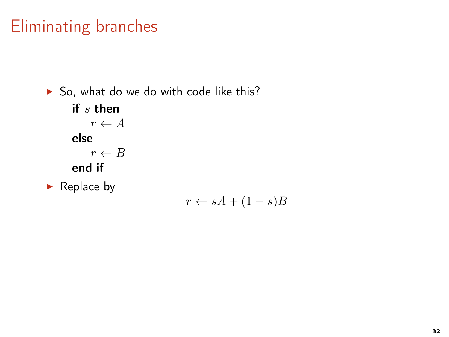$\triangleright$  So, what do we do with code like this? if s then  $r \leftarrow A$ else  $r \leftarrow B$ end if  $\blacktriangleright$  Replace by

 $r \leftarrow sA + (1 - s)B$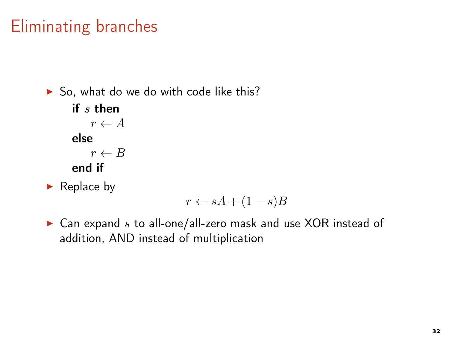$\triangleright$  So, what do we do with code like this? if s then  $r \leftarrow A$ else  $r \leftarrow B$ end if

 $\blacktriangleright$  Replace by

$$
r \leftarrow sA + (1 - s)B
$$

 $\blacktriangleright$  Can expand s to all-one/all-zero mask and use XOR instead of addition, AND instead of multiplication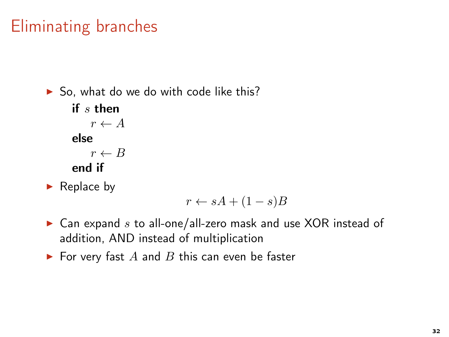$\triangleright$  So, what do we do with code like this? if s then  $r \leftarrow A$ else  $r \leftarrow B$ end if

 $\blacktriangleright$  Replace by

$$
r \leftarrow sA + (1 - s)B
$$

- $\blacktriangleright$  Can expand s to all-one/all-zero mask and use XOR instead of addition, AND instead of multiplication
- $\blacktriangleright$  For very fast A and B this can even be faster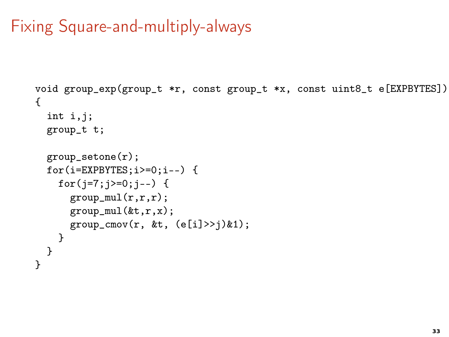# Fixing Square-and-multiply-always

```
void group_exp(group_t *r, const group_t *x, const uint8_t e[EXPBYTES])
{
  int i,j;
  group_t t;
  group_setone(r);
  for(i=EXPBYTES;i>=0;i--) {
    for(j=7;j>=0;j=-) {
      group\_mul(r,r,r);group\_mul(kt,r,x);group_{conv}(r, \&t, (e[i] \rightarrowtail i) \& 1);}
  }
}
```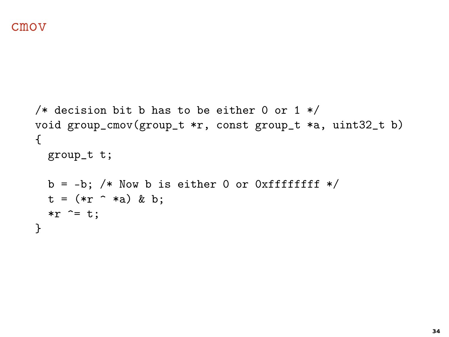```
/* decision bit b has to be either 0 or 1 */void group_cmov(group_t *r, const group_t *a, uint32_t b)
{
  group_t t;
  b = -b; /* Now b is either 0 or 0xffffffff */
  t = (*r^* * a) \& b;\overline{r} \overline{r} = t;
}
```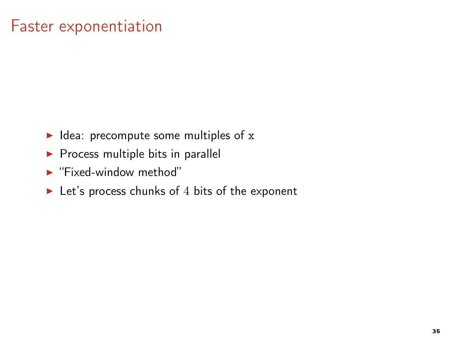#### Faster exponentiation

- $\blacktriangleright$  Idea: precompute some multiples of x
- $\blacktriangleright$  Process multiple bits in parallel
- ► "Fixed-window method"
- $\blacktriangleright$  Let's process chunks of 4 bits of the exponent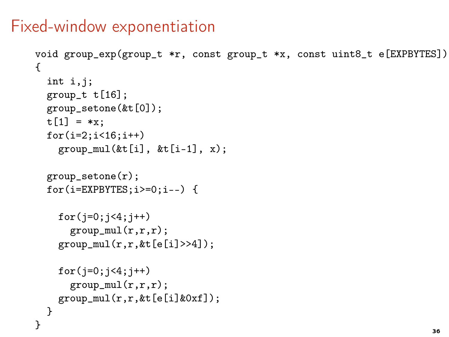#### Fixed-window exponentiation

```
void group_exp(group_t *r, const group_t *x, const uint8_t e[EXPBYTES])
{
  int i,j;
  group_t t[16];
  group_setone(&t[0]);
  t[1] = *x;
  for(i=2; i<16; i++)group\_mul(\&t[i], \&t[i-1], x);group_setone(r);
  for(i=EXPBYTES;i>=0;i--) {
    for(i=0; i<4; i++)group\_mul(r,r,r);group\_mul(r,r, \& t[e[i]>>4]);for(j=0; j<4; j++)group\_mul(r,r,r);group\_mul(r,r, \& t[e[i] \& 0xf]);}
}
```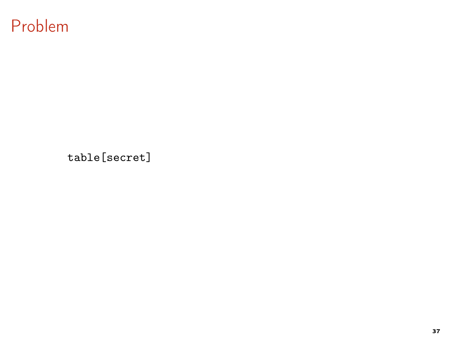#### Problem

table[secret]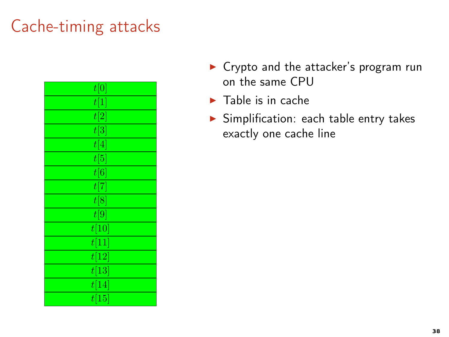| t[0]              |
|-------------------|
| t[1]              |
| $\overline{t[2]}$ |
| $\overline{t[3]}$ |
| t[4]              |
| t[5]              |
| $\overline{t[6]}$ |
| t[7]              |
| t[8]              |
| $\overline{t[9]}$ |
| t[10]             |
| t[11]             |
| t[12]             |
| t[13]             |
| t[14]             |
| t[15]             |

- ▶ Crypto and the attacker's program run on the same CPU
- $\blacktriangleright$  Table is in cache
- ▶ Simplification: each table entry takes exactly one cache line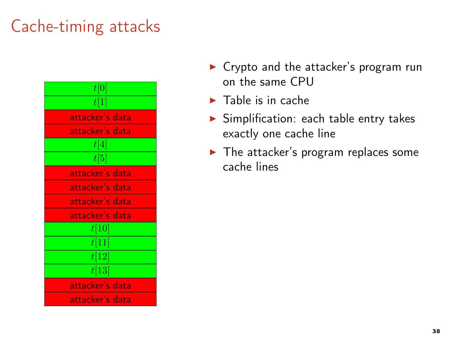| t[0]            |
|-----------------|
| t[1]            |
| attacker's data |
| attacker's data |
| t[4]            |
| t[5]            |
| attacker's data |
| attacker's data |
| attacker's data |
| attacker's data |
| t[10]           |
| t[11]           |
| t[12]           |
| t[13]           |
| attacker's data |
| attacker's data |

- ▶ Crypto and the attacker's program run on the same CPU
- $\blacktriangleright$  Table is in cache
- ▶ Simplification: each table entry takes exactly one cache line
- $\blacktriangleright$  The attacker's program replaces some cache lines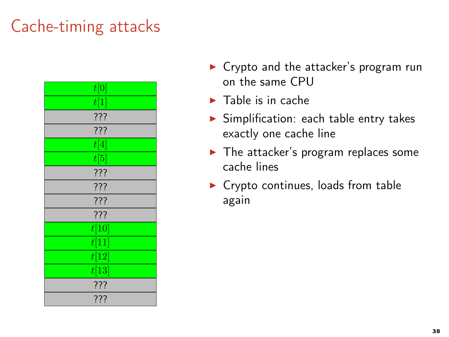| t[0]  |
|-------|
| t[1]  |
| ???   |
| ???   |
| t[4]  |
| t[5]  |
| ???   |
| ???   |
| ???   |
| ???   |
| t[10] |
| t[11] |
| t[12] |
| t[13] |
| ???   |
| ???   |

- ▶ Crypto and the attacker's program run on the same CPU
- $\blacktriangleright$  Table is in cache
- ▶ Simplification: each table entry takes exactly one cache line
- $\blacktriangleright$  The attacker's program replaces some cache lines
- $\triangleright$  Crypto continues, loads from table again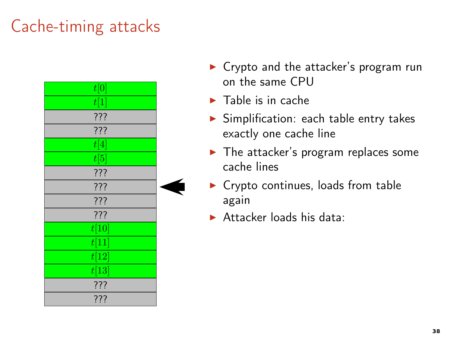

- ▶ Crypto and the attacker's program run on the same CPU
- $\blacktriangleright$  Table is in cache
- ▶ Simplification: each table entry takes exactly one cache line
- $\blacktriangleright$  The attacker's program replaces some cache lines
- $\triangleright$  Crypto continues, loads from table again
- $\blacktriangleright$  Attacker loads his data: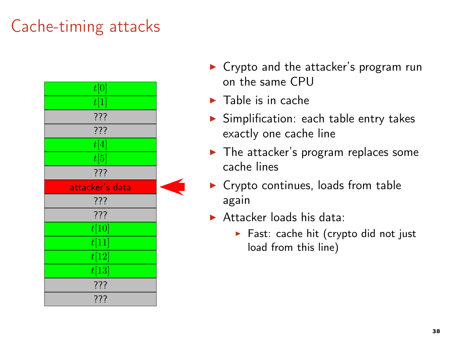

- ▶ Crypto and the attacker's program run on the same CPU
- $\blacktriangleright$  Table is in cache
- ▶ Simplification: each table entry takes exactly one cache line
- $\blacktriangleright$  The attacker's program replaces some cache lines
- $\blacktriangleright$  Crypto continues, loads from table again
- $\blacktriangleright$  Attacker loads his data:
	- ▶ Fast: cache hit (crypto did not just load from this line)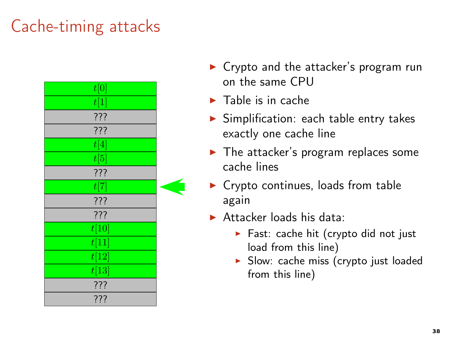

- ▶ Crypto and the attacker's program run on the same CPU
- $\blacktriangleright$  Table is in cache
- ▶ Simplification: each table entry takes exactly one cache line
- $\blacktriangleright$  The attacker's program replaces some cache lines
- $\blacktriangleright$  Crypto continues, loads from table again
- $\blacktriangleright$  Attacker loads his data:
	- ▶ Fast: cache hit (crypto did not just load from this line)
	- ▶ Slow: cache miss (crypto just loaded from this line)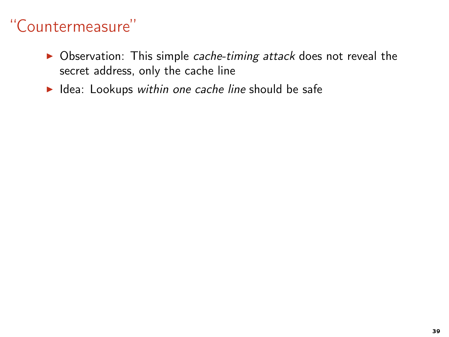- ▶ Observation: This simple cache-timing attack does not reveal the secret address, only the cache line
- ▶ Idea: Lookups within one cache line should be safe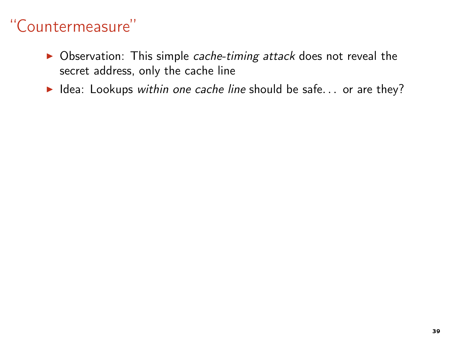- ▶ Observation: This simple cache-timing attack does not reveal the secret address, only the cache line
- $\blacktriangleright$  Idea: Lookups within one cache line should be safe... or are they?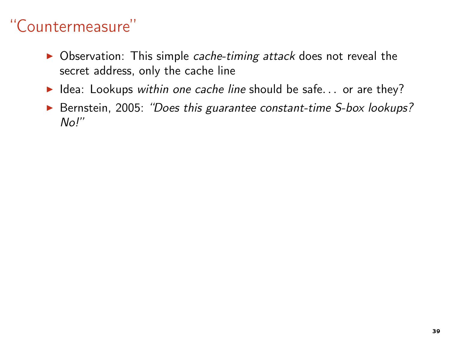- ▶ Observation: This simple cache-timing attack does not reveal the secret address, only the cache line
- ▶ Idea: Lookups within one cache line should be safe... or are they?
- ▶ Bernstein, 2005: "Does this guarantee constant-time S-box lookups? No!"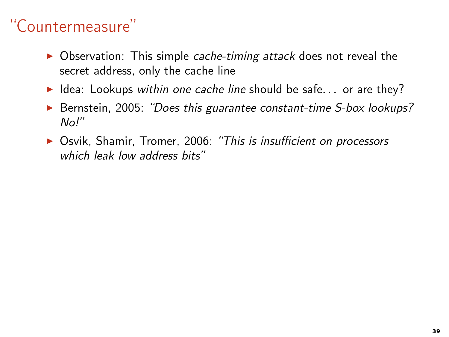- ▶ Observation: This simple cache-timing attack does not reveal the secret address, only the cache line
- $\blacktriangleright$  Idea: Lookups within one cache line should be safe... or are they?
- ▶ Bernstein, 2005: "Does this guarantee constant-time S-box lookups?  $N<sub>0</sub>$ "
- ▶ Osvik, Shamir, Tromer, 2006: "This is insufficient on processors which leak low address bits"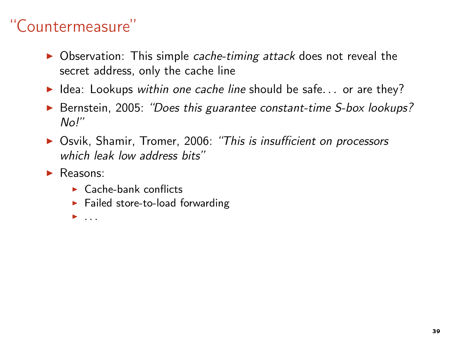- ▶ Observation: This simple cache-timing attack does not reveal the secret address, only the cache line
- ▶ Idea: Lookups within one cache line should be safe... or are they?
- ▶ Bernstein, 2005: "Does this guarantee constant-time S-box lookups?  $N<sub>0</sub>$
- ▶ Osvik, Shamir, Tromer, 2006: "This is insufficient on processors which leak low address bits"
- ▶ Reasons:
	- $\blacktriangleright$  Cache-bank conflicts
	- $\blacktriangleright$  Failed store-to-load forwarding
	- $\blacktriangleright$  ...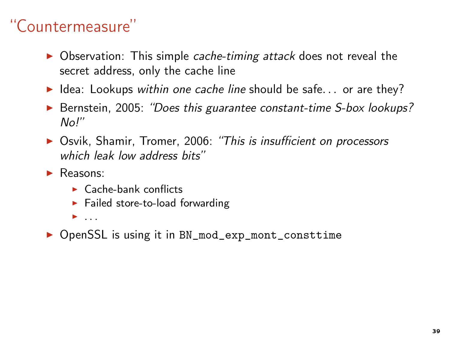- ▶ Observation: This simple cache-timing attack does not reveal the secret address, only the cache line
- $\blacktriangleright$  Idea: Lookups within one cache line should be safe... or are they?
- ▶ Bernstein, 2005: "Does this guarantee constant-time S-box lookups?  $N<sub>0</sub>$ "
- ▶ Osvik, Shamir, Tromer, 2006: "This is insufficient on processors which leak low address bits"
- ▶ Reasons:
	- $\blacktriangleright$  Cache-bank conflicts
	- $\blacktriangleright$  Failed store-to-load forwarding
	- $\blacktriangleright$  ...
- ▶ OpenSSL is using it in BN\_mod\_exp\_mont\_consttime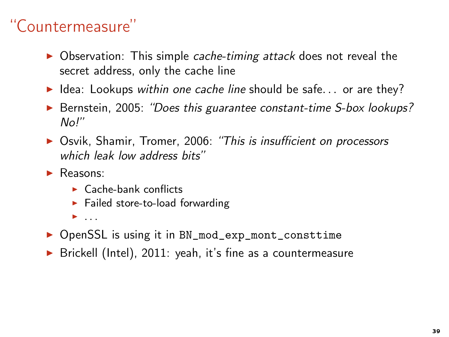- ▶ Observation: This simple cache-timing attack does not reveal the secret address, only the cache line
- $\blacktriangleright$  Idea: Lookups within one cache line should be safe... or are they?
- ▶ Bernstein, 2005: "Does this guarantee constant-time S-box lookups?  $N<sub>0</sub>$ "
- ▶ Osvik, Shamir, Tromer, 2006: "This is insufficient on processors which leak low address bits"
- ▶ Reasons:
	- $\blacktriangleright$  Cache-bank conflicts
	- $\blacktriangleright$  Failed store-to-load forwarding
	- $\blacktriangleright$  ...
- ▶ OpenSSL is using it in BN\_mod\_exp\_mont\_consttime
- ▶ Brickell (Intel), 2011: yeah, it's fine as a countermeasure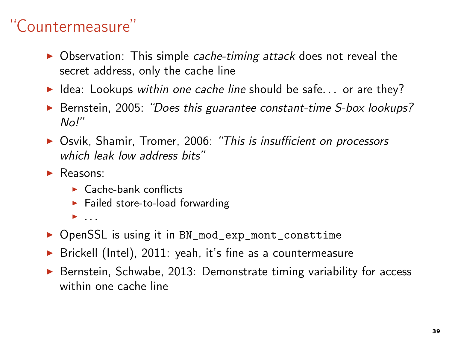- ▶ Observation: This simple cache-timing attack does not reveal the secret address, only the cache line
- ▶ Idea: Lookups within one cache line should be safe... or are they?
- ▶ Bernstein, 2005: "Does this guarantee constant-time S-box lookups?  $N<sub>0</sub>$ "
- ▶ Osvik, Shamir, Tromer, 2006: "This is insufficient on processors which leak low address hits"
- ▶ Reasons:
	- $\blacktriangleright$  Cache-bank conflicts
	- $\blacktriangleright$  Failed store-to-load forwarding
	- $\blacktriangleright$  ...
- ▶ OpenSSL is using it in BN\_mod\_exp\_mont\_consttime
- ▶ Brickell (Intel), 2011: yeah, it's fine as a countermeasure
- ▶ Bernstein, Schwabe, 2013: Demonstrate timing variability for access within one cache line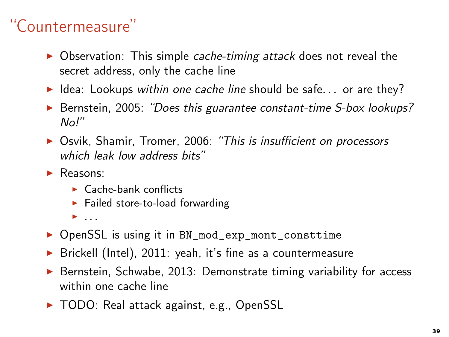- ▶ Observation: This simple cache-timing attack does not reveal the secret address, only the cache line
- ▶ Idea: Lookups within one cache line should be safe... or are they?
- ▶ Bernstein, 2005: "Does this guarantee constant-time S-box lookups?  $N<sub>0</sub>$ "
- ▶ Osvik, Shamir, Tromer, 2006: "This is insufficient on processors which leak low address bits"
- ▶ Reasons:
	- $\blacktriangleright$  Cache-bank conflicts
	- $\blacktriangleright$  Failed store-to-load forwarding
	- $\blacktriangleright$  ...
- ▶ OpenSSL is using it in BN\_mod\_exp\_mont\_consttime
- ▶ Brickell (Intel), 2011: yeah, it's fine as a countermeasure
- ▶ Bernstein, Schwabe, 2013: Demonstrate timing variability for access within one cache line
- ▶ TODO: Real attack against, e.g., OpenSSL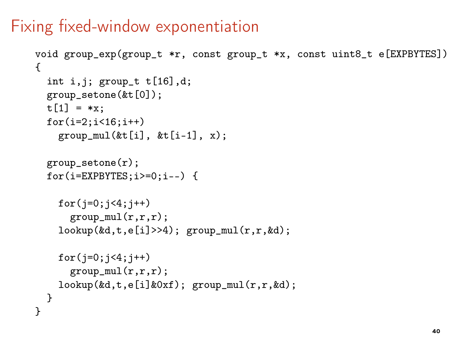#### Fixing fixed-window exponentiation

```
void group_exp(group_t *r, const group_t *x, const uint8_t e[EXPBYTES])
{
  int i,j; group_t t[16],d;
  group_setone(&t[0]);
  t[1] = *x:
  for(i=2; i<16; i++)group\_mul(\&t[i], \&t[i-1], x);group_setone(r);
  for(i=EXPBYTES;i>=0;i--) {
    for(j=0; j<4; j++)group\_mul(r,r,r);\text{lookup}(\&d, t, e[i] \rightarrow 4); \text{ group\_mul}(r, r, \&d);for(j=0; j<4; j++)group\_mul(r,r,r);\text{lookup}(\&d, t, e[i]\&0xf); \text{ group\_mul}(r, r, \&d);}
}
```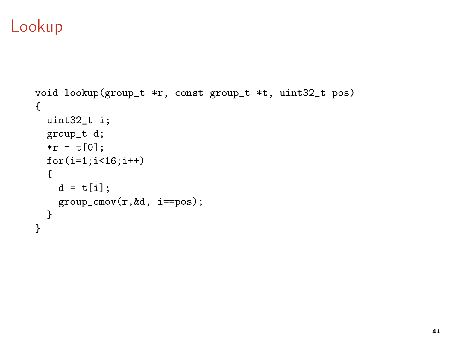#### Lookup

```
void lookup(group_t *r, const group_t *t, uint32_t pos)
{
  uint32_t i;
  group_t d;
  *r = t[0];for(i=1; i<16; i++){
    d = t[i];group_cmov(r,&d, i==pos);
 }
}
```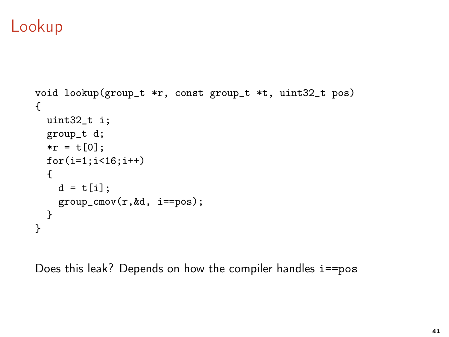#### Lookup

```
void lookup(group_t *r, const group_t *t, uint32_t pos)
{
 uint32_t i;
 group_t d;
 *r = t[0];for(i=1; i<16; i++){
   d = t[i];group_cmov(r,&d, i==pos);
 }
}
```
Does this leak? Depends on how the compiler handles i==pos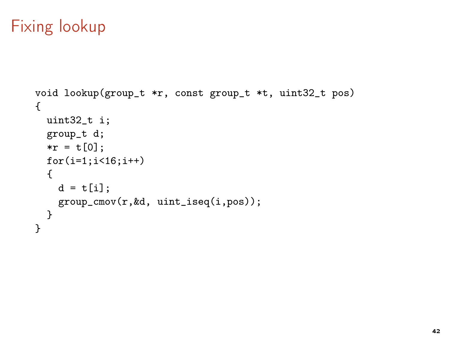### Fixing lookup

```
void lookup(group_t *r, const group_t *t, uint32_t pos)
{
 uint32_t i;
 group_t d;
 *r = t[0];for(i=1; i<16; i++){
   d = t[i];group_cmov(r,&d, uint_iseq(i,pos));
 }
}
```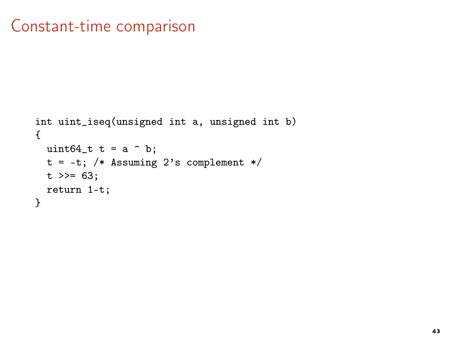### Constant-time comparison

```
int uint_iseq(unsigned int a, unsigned int b)
{
  uint64<sub>-t</sub> t = a \hat{b};
  t = -t; /* Assuming 2's complement */
  t \gg = 63;return 1-t;
}
```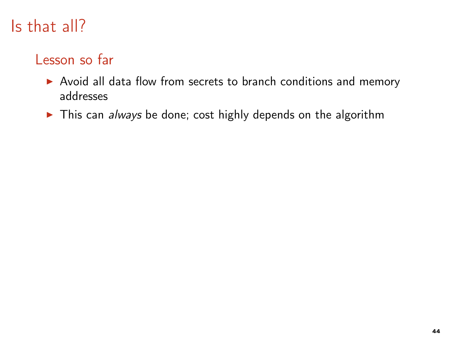#### Lesson so far

- ▶ Avoid all data flow from secrets to branch conditions and memory addresses
- ▶ This can always be done; cost highly depends on the algorithm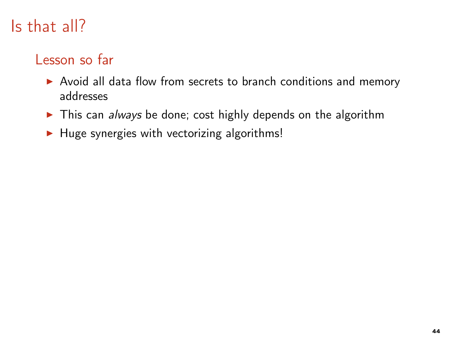#### Lesson so far

- ▶ Avoid all data flow from secrets to branch conditions and memory addresses
- ▶ This can always be done; cost highly depends on the algorithm
- ▶ Huge synergies with vectorizing algorithms!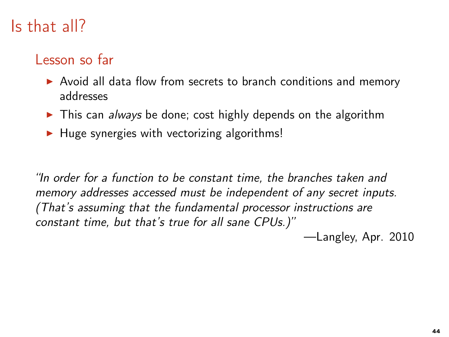#### Lesson so far

- ▶ Avoid all data flow from secrets to branch conditions and memory addresses
- ▶ This can always be done; cost highly depends on the algorithm
- $\blacktriangleright$  Huge synergies with vectorizing algorithms!

"In order for a function to be constant time, the branches taken and memory addresses accessed must be independent of any secret inputs. (That's assuming that the fundamental processor instructions are constant time, but that's true for all sane CPUs.)"

—Langley, Apr. 2010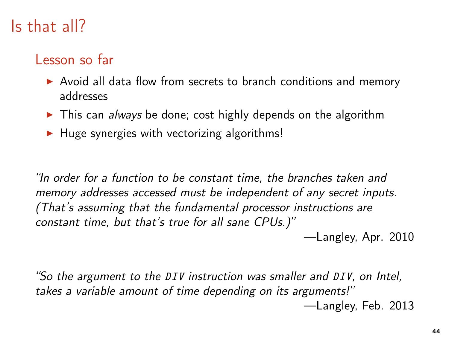#### Lesson so far

- ▶ Avoid all data flow from secrets to branch conditions and memory addresses
- ► This can *always* be done; cost highly depends on the algorithm
- $\blacktriangleright$  Huge synergies with vectorizing algorithms!

"In order for a function to be constant time, the branches taken and memory addresses accessed must be independent of any secret inputs. (That's assuming that the fundamental processor instructions are constant time, but that's true for all sane CPUs.)"

—Langley, Apr. 2010

"So the argument to the DIV instruction was smaller and DIV, on Intel, takes a variable amount of time depending on its arguments!" —Langley, Feb. 2013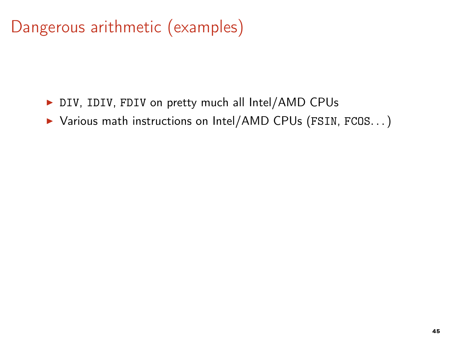# Dangerous arithmetic (examples)

- ▶ DIV, IDIV, FDIV on pretty much all Intel/AMD CPUs
- ▶ Various math instructions on Intel/AMD CPUs (FSIN, FCOS...)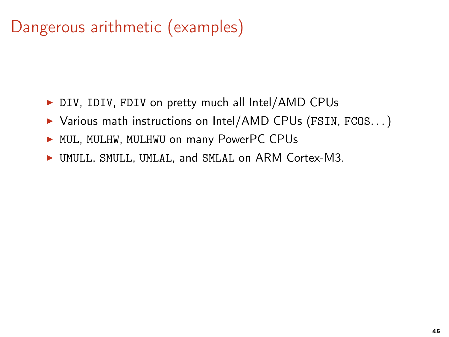# Dangerous arithmetic (examples)

- ▶ DIV, IDIV, FDIV on pretty much all Intel/AMD CPUs
- ▶ Various math instructions on Intel/AMD CPUs (FSIN, FCOS...)
- ▶ MUL, MULHW, MULHWU on many PowerPC CPUs
- ▶ UMULL, SMULL, UMLAL, and SMLAL on ARM Cortex-M3.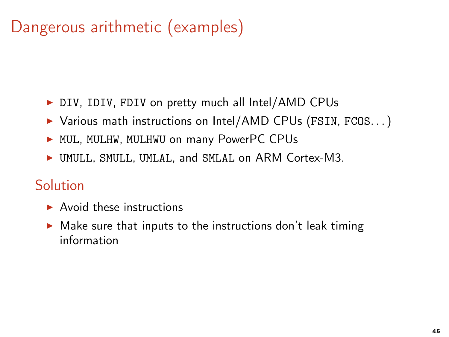# Dangerous arithmetic (examples)

- ▶ DIV, IDIV, FDIV on pretty much all Intel/AMD CPUs
- ▶ Various math instructions on Intel/AMD CPUs (FSIN, FCOS...)
- ▶ MUL, MULHW, MULHWU on many PowerPC CPUs
- ▶ UMULL, SMULL, UMLAL, and SMLAL on ARM Cortex-M3.

#### Solution

- $\blacktriangleright$  Avoid these instructions
- $\triangleright$  Make sure that inputs to the instructions don't leak timing information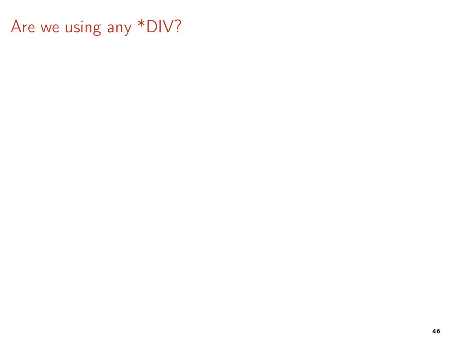Are we using any \*DIV?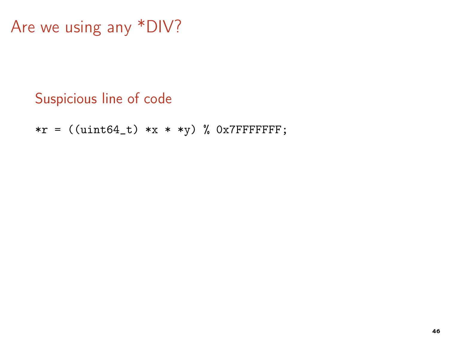```
Are we using any *DIV?
```
#### Suspicious line of code

\*r =  $((uint64_t) *x * *y) %$  0x7FFFFFFFF;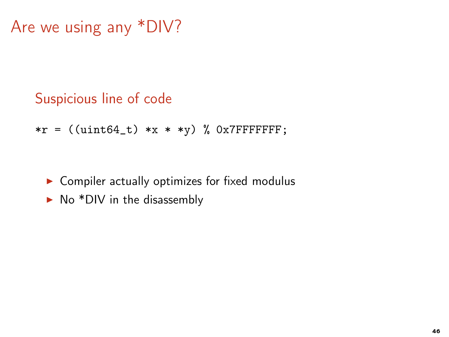```
Are we using any *DIV?
```
#### Suspicious line of code

$$
*_r = ((uint64_t) * x * * y) % 0x7FFFFFF;
$$

- Compiler actually optimizes for fixed modulus
- $\triangleright$  No \*DIV in the disassembly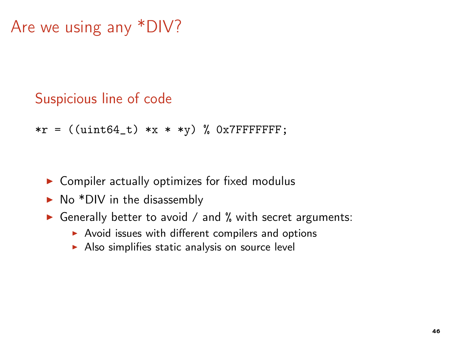```
Are we using any *DIV?
```
#### Suspicious line of code

$$
*_r = ((uint64_t) *x * *y) % 0x7FFFFFF;
$$

- $\triangleright$  Compiler actually optimizes for fixed modulus
- $\triangleright$  No \*DIV in the disassembly
- ▶ Generally better to avoid / and % with secret arguments:
	- ▶ Avoid issues with different compilers and options
	- $\triangleright$  Also simplifies static analysis on source level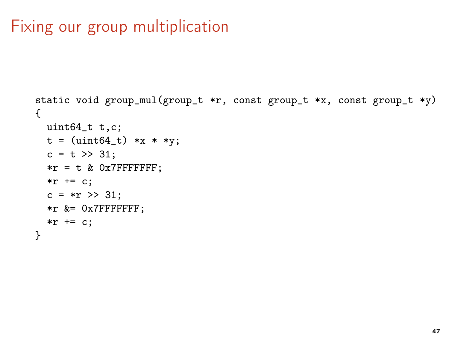### Fixing our group multiplication

```
static void group_mul(group_t *r, const group_t *x, const group_t *y)
{
 uint64_t t,c;
 t = (uint64_t) * x * * y;c = t \gg 31:
 *r = t & 0x7FFFFFFF;
 *r += c:c = *r \gg 31;*r &= 0x7FFFFFFF;
 *r += c;}
```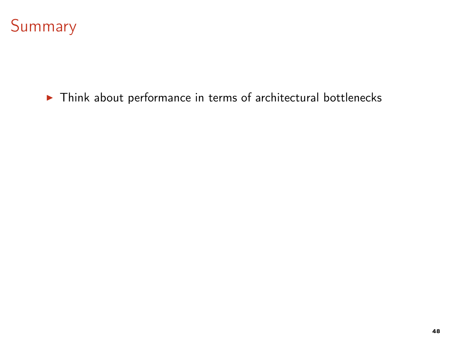

▶ Think about performance in terms of architectural bottlenecks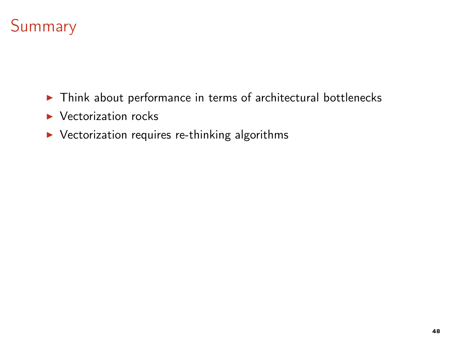

- ▶ Think about performance in terms of architectural bottlenecks
- $\blacktriangleright$  Vectorization rocks
- ▶ Vectorization requires re-thinking algorithms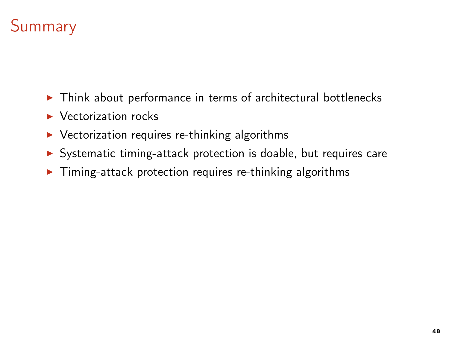# **Summary**

- ▶ Think about performance in terms of architectural bottlenecks
- $\blacktriangleright$  Vectorization rocks
- $\triangleright$  Vectorization requires re-thinking algorithms
- ▶ Systematic timing-attack protection is doable, but requires care
- $\triangleright$  Timing-attack protection requires re-thinking algorithms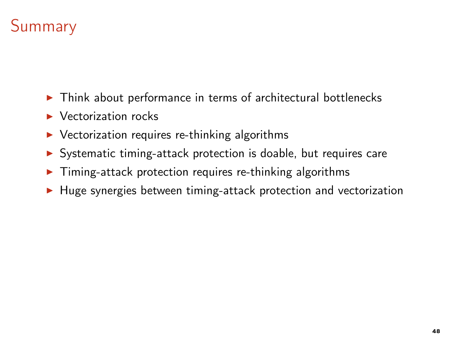# **Summary**

- ▶ Think about performance in terms of architectural bottlenecks
- $\blacktriangleright$  Vectorization rocks
- $\triangleright$  Vectorization requires re-thinking algorithms
- ▶ Systematic timing-attack protection is doable, but requires care
- $\triangleright$  Timing-attack protection requires re-thinking algorithms
- ▶ Huge synergies between timing-attack protection and vectorization